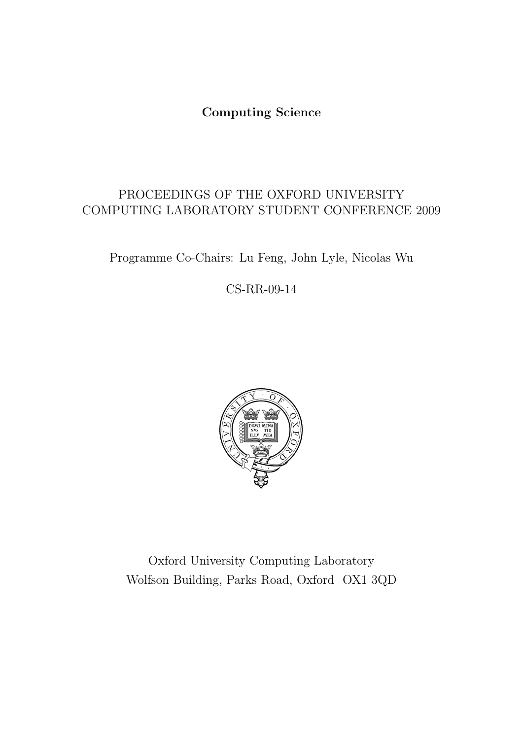Computing Science

# PROCEEDINGS OF THE OXFORD UNIVERSITY COMPUTING LABORATORY STUDENT CONFERENCE 2009

Programme Co-Chairs: Lu Feng, John Lyle, Nicolas Wu

CS-RR-09-14



Oxford University Computing Laboratory Wolfson Building, Parks Road, Oxford OX1 3QD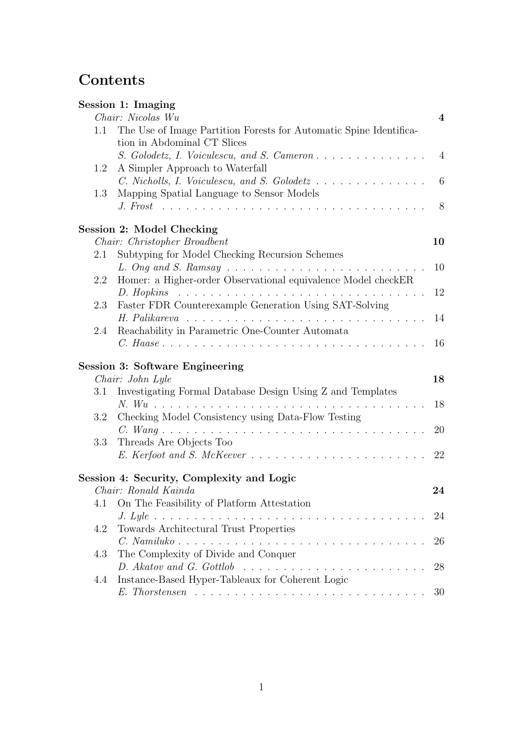# **Contents**

|         | Session 1: Imaging                                                                                |                |
|---------|---------------------------------------------------------------------------------------------------|----------------|
|         | Chair: Nicolas Wu                                                                                 | 4              |
| 1.1     | The Use of Image Partition Forests for Automatic Spine Identifica-<br>tion in Abdominal CT Slices |                |
| 1.2     | S. Golodetz, I. Voiculescu, and S. Cameron<br>A Simpler Approach to Waterfall                     | $\overline{4}$ |
| 1.3     | C. Nicholls, I. Voiculescu, and S. Golodetz<br>Mapping Spatial Language to Sensor Models          | 6              |
|         |                                                                                                   | 8              |
|         | Session 2: Model Checking                                                                         |                |
|         | Chair: Christopher Broadbent                                                                      | 10             |
| 2.1     | Subtyping for Model Checking Recursion Schemes                                                    |                |
| 2.2     | Homer: a Higher-order Observational equivalence Model checkER                                     | 10             |
|         | D. Hopkins                                                                                        | 12             |
| 2.3     | Faster FDR Counterexample Generation Using SAT-Solving                                            |                |
|         |                                                                                                   | 14             |
| 2.4     | Reachability in Parametric One-Counter Automata                                                   |                |
|         | C. Haase                                                                                          | 16             |
|         | <b>Session 3: Software Engineering</b>                                                            |                |
|         | Chair: John Lyle                                                                                  | 18             |
| 3.1     | Investigating Formal Database Design Using Z and Templates                                        |                |
| $3.2\,$ | Checking Model Consistency using Data-Flow Testing                                                | 18             |
|         | C. Wang                                                                                           | 20             |
| 3.3     | Threads Are Objects Too                                                                           |                |
|         |                                                                                                   | 22             |
|         | Session 4: Security, Complexity and Logic                                                         |                |
|         | Chair: Ronald Kainda                                                                              | 24             |
| 4.1     | On The Feasibility of Platform Attestation                                                        |                |
|         |                                                                                                   | 24             |
| 4.2     | Towards Architectural Trust Properties                                                            |                |
|         |                                                                                                   | 26             |
| 4.3     | The Complexity of Divide and Conquer                                                              |                |
|         |                                                                                                   | 28             |
| 4.4     | Instance-Based Hyper-Tableaux for Coherent Logic                                                  |                |
|         |                                                                                                   | 30             |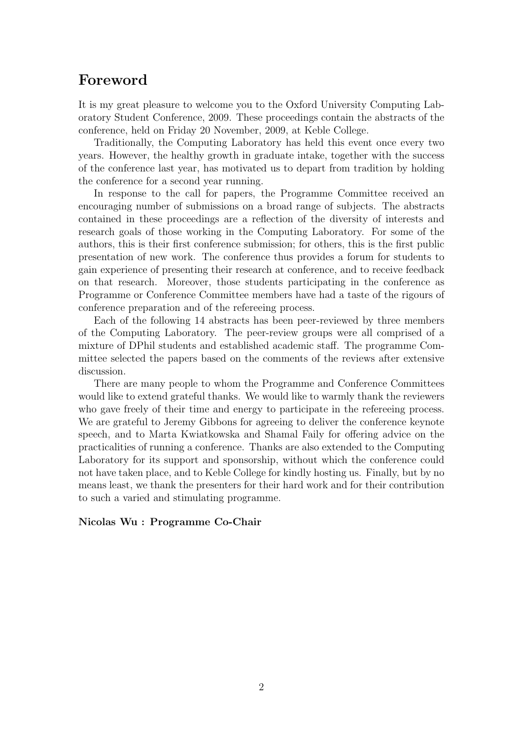# Foreword

It is my great pleasure to welcome you to the Oxford University Computing Laboratory Student Conference, 2009. These proceedings contain the abstracts of the conference, held on Friday 20 November, 2009, at Keble College.

Traditionally, the Computing Laboratory has held this event once every two years. However, the healthy growth in graduate intake, together with the success of the conference last year, has motivated us to depart from tradition by holding the conference for a second year running.

In response to the call for papers, the Programme Committee received an encouraging number of submissions on a broad range of subjects. The abstracts contained in these proceedings are a reflection of the diversity of interests and research goals of those working in the Computing Laboratory. For some of the authors, this is their first conference submission; for others, this is the first public presentation of new work. The conference thus provides a forum for students to gain experience of presenting their research at conference, and to receive feedback on that research. Moreover, those students participating in the conference as Programme or Conference Committee members have had a taste of the rigours of conference preparation and of the refereeing process.

Each of the following 14 abstracts has been peer-reviewed by three members of the Computing Laboratory. The peer-review groups were all comprised of a mixture of DPhil students and established academic staff. The programme Committee selected the papers based on the comments of the reviews after extensive discussion.

There are many people to whom the Programme and Conference Committees would like to extend grateful thanks. We would like to warmly thank the reviewers who gave freely of their time and energy to participate in the refereeing process. We are grateful to Jeremy Gibbons for agreeing to deliver the conference keynote speech, and to Marta Kwiatkowska and Shamal Faily for offering advice on the practicalities of running a conference. Thanks are also extended to the Computing Laboratory for its support and sponsorship, without which the conference could not have taken place, and to Keble College for kindly hosting us. Finally, but by no means least, we thank the presenters for their hard work and for their contribution to such a varied and stimulating programme.

### Nicolas Wu : Programme Co-Chair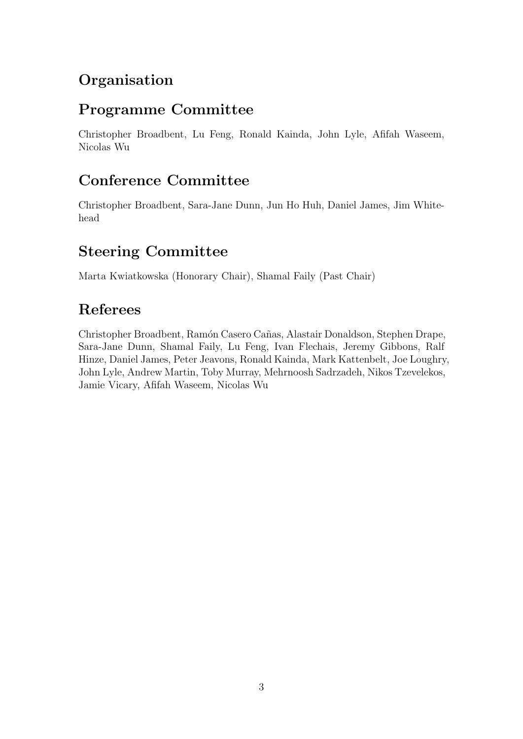# Organisation

# Programme Committee

Christopher Broadbent, Lu Feng, Ronald Kainda, John Lyle, Afifah Waseem, Nicolas Wu

# Conference Committee

Christopher Broadbent, Sara-Jane Dunn, Jun Ho Huh, Daniel James, Jim Whitehead

# Steering Committee

Marta Kwiatkowska (Honorary Chair), Shamal Faily (Past Chair)

# Referees

<span id="page-3-0"></span>Christopher Broadbent, Ramón Casero Cañas, Alastair Donaldson, Stephen Drape, Sara-Jane Dunn, Shamal Faily, Lu Feng, Ivan Flechais, Jeremy Gibbons, Ralf Hinze, Daniel James, Peter Jeavons, Ronald Kainda, Mark Kattenbelt, Joe Loughry, John Lyle, Andrew Martin, Toby Murray, Mehrnoosh Sadrzadeh, Nikos Tzevelekos, Jamie Vicary, Afifah Waseem, Nicolas Wu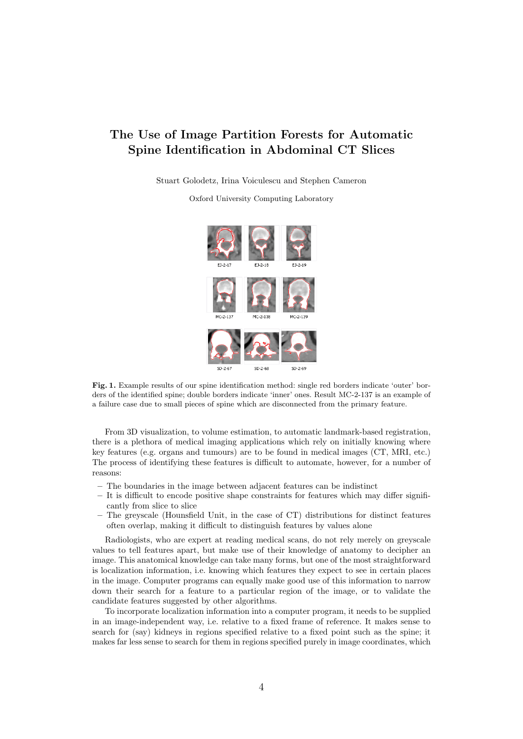# <span id="page-4-0"></span>The Use of Image Partition Forests for Automatic Spine Identification in Abdominal CT Slices

Stuart Golodetz, Irina Voiculescu and Stephen Cameron

Oxford University Computing Laboratory



Fig. 1. Example results of our spine identification method: single red borders indicate 'outer' borders of the identified spine; double borders indicate 'inner' ones. Result MC-2-137 is an example of a failure case due to small pieces of spine which are disconnected from the primary feature.

From 3D visualization, to volume estimation, to automatic landmark-based registration, there is a plethora of medical imaging applications which rely on initially knowing where key features (e.g. organs and tumours) are to be found in medical images (CT, MRI, etc.) The process of identifying these features is difficult to automate, however, for a number of reasons:

- The boundaries in the image between adjacent features can be indistinct
- It is difficult to encode positive shape constraints for features which may differ significantly from slice to slice
- The greyscale (Hounsfield Unit, in the case of CT) distributions for distinct features often overlap, making it difficult to distinguish features by values alone

Radiologists, who are expert at reading medical scans, do not rely merely on greyscale values to tell features apart, but make use of their knowledge of anatomy to decipher an image. This anatomical knowledge can take many forms, but one of the most straightforward is localization information, i.e. knowing which features they expect to see in certain places in the image. Computer programs can equally make good use of this information to narrow down their search for a feature to a particular region of the image, or to validate the candidate features suggested by other algorithms.

To incorporate localization information into a computer program, it needs to be supplied in an image-independent way, i.e. relative to a fixed frame of reference. It makes sense to search for (say) kidneys in regions specified relative to a fixed point such as the spine; it makes far less sense to search for them in regions specified purely in image coordinates, which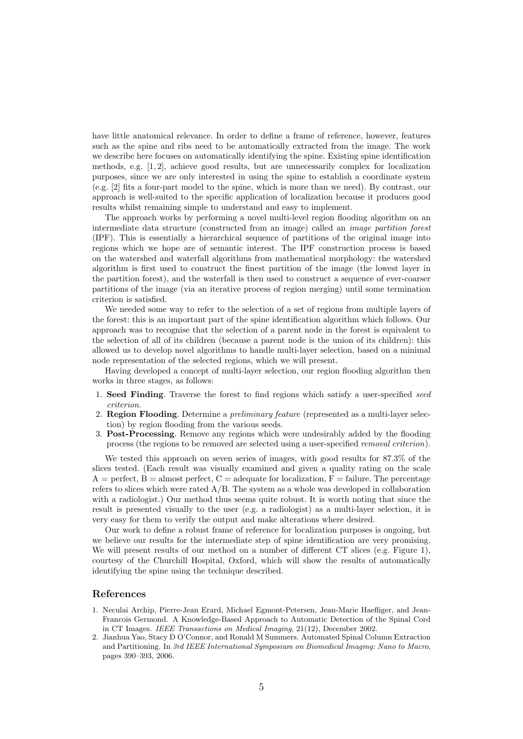have little anatomical relevance. In order to define a frame of reference, however, features such as the spine and ribs need to be automatically extracted from the image. The work we describe here focuses on automatically identifying the spine. Existing spine identification methods, e.g. [1, 2], achieve good results, but are unnecessarily complex for localization purposes, since we are only interested in using the spine to establish a coordinate system (e.g. [2] fits a four-part model to the spine, which is more than we need). By contrast, our approach is well-suited to the specific application of localization because it produces good results whilst remaining simple to understand and easy to implement.

The approach works by performing a novel multi-level region flooding algorithm on an intermediate data structure (constructed from an image) called an image partition forest (IPF). This is essentially a hierarchical sequence of partitions of the original image into regions which we hope are of semantic interest. The IPF construction process is based on the watershed and waterfall algorithms from mathematical morphology: the watershed algorithm is first used to construct the finest partition of the image (the lowest layer in the partition forest), and the waterfall is then used to construct a sequence of ever-coarser partitions of the image (via an iterative process of region merging) until some termination criterion is satisfied.

We needed some way to refer to the selection of a set of regions from multiple layers of the forest: this is an important part of the spine identification algorithm which follows. Our approach was to recognise that the selection of a parent node in the forest is equivalent to the selection of all of its children (because a parent node is the union of its children): this allowed us to develop novel algorithms to handle multi-layer selection, based on a minimal node representation of the selected regions, which we will present.

Having developed a concept of multi-layer selection, our region flooding algorithm then works in three stages, as follows:

- 1. Seed Finding. Traverse the forest to find regions which satisfy a user-specified seed criterion.
- 2. Region Flooding. Determine a preliminary feature (represented as a multi-layer selection) by region flooding from the various seeds.
- 3. Post-Processing. Remove any regions which were undesirably added by the flooding process (the regions to be removed are selected using a user-specified removal criterion).

We tested this approach on seven series of images, with good results for 87.3% of the slices tested. (Each result was visually examined and given a quality rating on the scale  $A =$  perfect,  $B =$  almost perfect,  $C =$  adequate for localization,  $F =$  failure. The percentage refers to slices which were rated A/B. The system as a whole was developed in collaboration with a radiologist.) Our method thus seems quite robust. It is worth noting that since the result is presented visually to the user (e.g. a radiologist) as a multi-layer selection, it is very easy for them to verify the output and make alterations where desired.

Our work to define a robust frame of reference for localization purposes is ongoing, but we believe our results for the intermediate step of spine identification are very promising. We will present results of our method on a number of different CT slices (e.g. Figure 1), courtesy of the Churchill Hospital, Oxford, which will show the results of automatically identifying the spine using the technique described.

- 1. Neculai Archip, Pierre-Jean Erard, Michael Egmont-Petersen, Jean-Marie Haefliger, and Jean-Francois Germond. A Knowledge-Based Approach to Automatic Detection of the Spinal Cord in CT Images. IEEE Transactions on Medical Imaging, 21(12), December 2002.
- 2. Jianhua Yao, Stacy D O'Connor, and Ronald M Summers. Automated Spinal Column Extraction and Partitioning. In 3rd IEEE International Symposium on Biomedical Imaging: Nano to Macro, pages 390–393, 2006.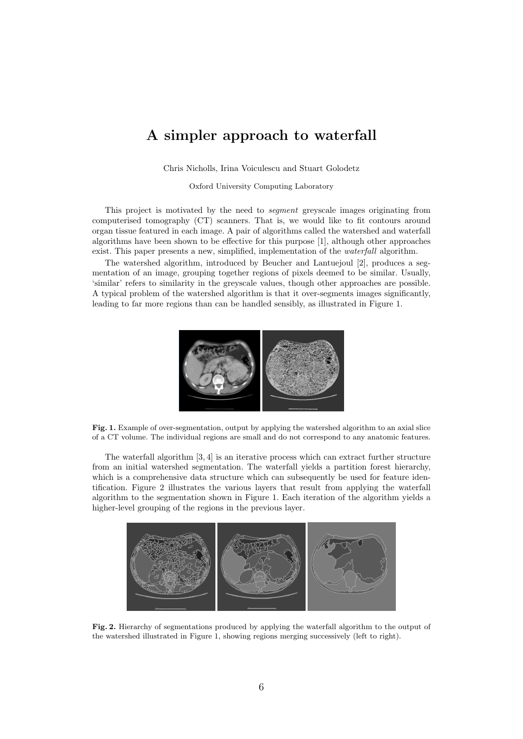# <span id="page-6-0"></span>A simpler approach to waterfall

Chris Nicholls, Irina Voiculescu and Stuart Golodetz

Oxford University Computing Laboratory

This project is motivated by the need to segment greyscale images originating from computerised tomography (CT) scanners. That is, we would like to fit contours around organ tissue featured in each image. A pair of algorithms called the watershed and waterfall algorithms have been shown to be effective for this purpose [1], although other approaches exist. This paper presents a new, simplified, implementation of the waterfall algorithm.

The watershed algorithm, introduced by Beucher and Lantuejoul [2], produces a segmentation of an image, grouping together regions of pixels deemed to be similar. Usually, 'similar' refers to similarity in the greyscale values, though other approaches are possible. A typical problem of the watershed algorithm is that it over-segments images significantly, leading to far more regions than can be handled sensibly, as illustrated in Figure 1.



Fig. 1. Example of over-segmentation, output by applying the watershed algorithm to an axial slice of a CT volume. The individual regions are small and do not correspond to any anatomic features.

The waterfall algorithm  $[3, 4]$  is an iterative process which can extract further structure from an initial watershed segmentation. The waterfall yields a partition forest hierarchy, which is a comprehensive data structure which can subsequently be used for feature identification. Figure 2 illustrates the various layers that result from applying the waterfall algorithm to the segmentation shown in Figure 1. Each iteration of the algorithm yields a higher-level grouping of the regions in the previous layer.



Fig. 2. Hierarchy of segmentations produced by applying the waterfall algorithm to the output of the watershed illustrated in Figure 1, showing regions merging successively (left to right).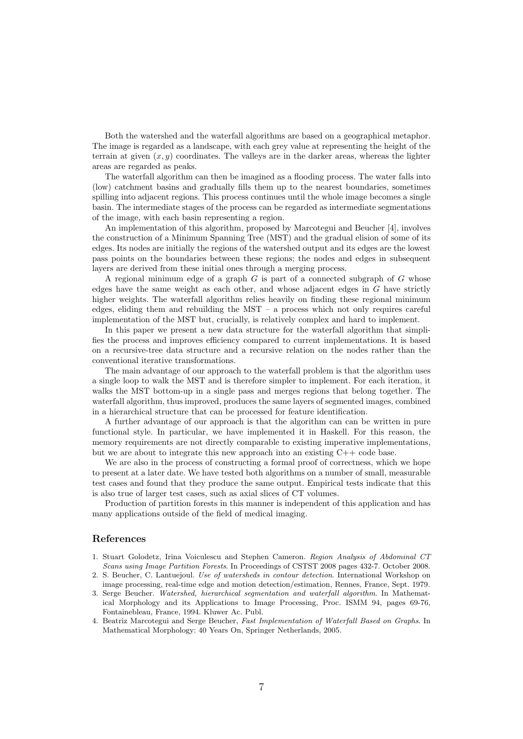Both the watershed and the waterfall algorithms are based on a geographical metaphor. The image is regarded as a landscape, with each grey value at representing the height of the terrain at given  $(x, y)$  coordinates. The valleys are in the darker areas, whereas the lighter areas are regarded as peaks.

The waterfall algorithm can then be imagined as a flooding process. The water falls into (low) catchment basins and gradually fills them up to the nearest boundaries, sometimes spilling into adjacent regions. This process continues until the whole image becomes a single basin. The intermediate stages of the process can be regarded as intermediate segmentations of the image, with each basin representing a region.

An implementation of this algorithm, proposed by Marcotegui and Beucher [4], involves the construction of a Minimum Spanning Tree (MST) and the gradual elision of some of its edges. Its nodes are initially the regions of the watershed output and its edges are the lowest pass points on the boundaries between these regions; the nodes and edges in subsequent layers are derived from these initial ones through a merging process.

A regional minimum edge of a graph  $G$  is part of a connected subgraph of  $G$  whose edges have the same weight as each other, and whose adjacent edges in G have strictly higher weights. The waterfall algorithm relies heavily on finding these regional minimum edges, eliding them and rebuilding the  $MST - a$  process which not only requires careful implementation of the MST but, crucially, is relatively complex and hard to implement.

In this paper we present a new data structure for the waterfall algorithm that simplifies the process and improves efficiency compared to current implementations. It is based on a recursive-tree data structure and a recursive relation on the nodes rather than the conventional iterative transformations.

The main advantage of our approach to the waterfall problem is that the algorithm uses a single loop to walk the MST and is therefore simpler to implement. For each iteration, it walks the MST bottom-up in a single pass and merges regions that belong together. The waterfall algorithm, thus improved, produces the same layers of segmented images, combined in a hierarchical structure that can be processed for feature identification.

A further advantage of our approach is that the algorithm can can be written in pure functional style. In particular, we have implemented it in Haskell. For this reason, the memory requirements are not directly comparable to existing imperative implementations, but we are about to integrate this new approach into an existing C++ code base.

We are also in the process of constructing a formal proof of correctness, which we hope to present at a later date. We have tested both algorithms on a number of small, measurable test cases and found that they produce the same output. Empirical tests indicate that this is also true of larger test cases, such as axial slices of CT volumes.

Production of partition forests in this manner is independent of this application and has many applications outside of the field of medical imaging.

- 1. Stuart Golodetz, Irina Voiculescu and Stephen Cameron. Region Analysis of Abdominal CT Scans using Image Partition Forests. In Proceedings of CSTST 2008 pages 432-7. October 2008.
- 2. S. Beucher, C. Lantuejoul. Use of watersheds in contour detection. International Workshop on image processing, real-time edge and motion detection/estimation, Rennes, France, Sept. 1979.
- 3. Serge Beucher. Watershed, hierarchical segmentation and waterfall algorithm. In Mathematical Morphology and its Applications to Image Processing, Proc. ISMM 94, pages 69-76, Fontainebleau, France, 1994. Kluwer Ac. Publ.
- 4. Beatriz Marcotegui and Serge Beucher, Fast Implementation of Waterfall Based on Graphs. In Mathematical Morphology: 40 Years On, Springer Netherlands, 2005.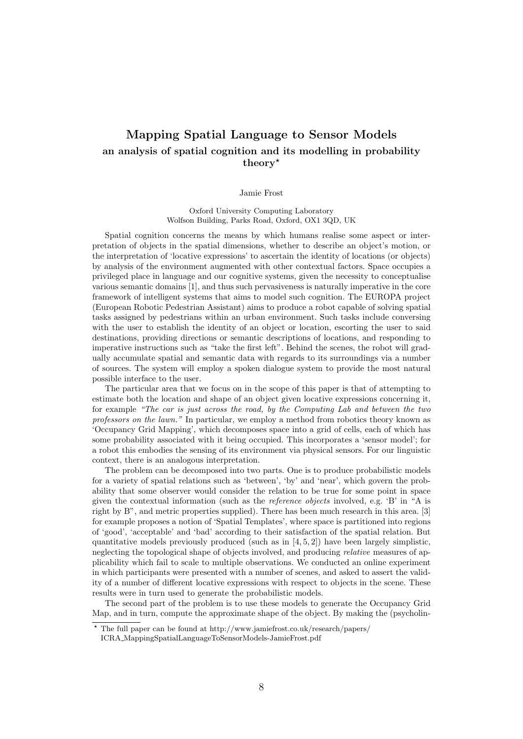# <span id="page-8-0"></span>Mapping Spatial Language to Sensor Models an analysis of spatial cognition and its modelling in probability theory?

Jamie Frost

Oxford University Computing Laboratory Wolfson Building, Parks Road, Oxford, OX1 3QD, UK

Spatial cognition concerns the means by which humans realise some aspect or interpretation of objects in the spatial dimensions, whether to describe an object's motion, or the interpretation of 'locative expressions' to ascertain the identity of locations (or objects) by analysis of the environment augmented with other contextual factors. Space occupies a privileged place in language and our cognitive systems, given the necessity to conceptualise various semantic domains [1], and thus such pervasiveness is naturally imperative in the core framework of intelligent systems that aims to model such cognition. The EUROPA project (European Robotic Pedestrian Assistant) aims to produce a robot capable of solving spatial tasks assigned by pedestrians within an urban environment. Such tasks include conversing with the user to establish the identity of an object or location, escorting the user to said destinations, providing directions or semantic descriptions of locations, and responding to imperative instructions such as "take the first left". Behind the scenes, the robot will gradually accumulate spatial and semantic data with regards to its surroundings via a number of sources. The system will employ a spoken dialogue system to provide the most natural possible interface to the user.

The particular area that we focus on in the scope of this paper is that of attempting to estimate both the location and shape of an object given locative expressions concerning it, for example "The car is just across the road, by the Computing Lab and between the two professors on the lawn." In particular, we employ a method from robotics theory known as 'Occupancy Grid Mapping', which decomposes space into a grid of cells, each of which has some probability associated with it being occupied. This incorporates a 'sensor model'; for a robot this embodies the sensing of its environment via physical sensors. For our linguistic context, there is an analogous interpretation.

The problem can be decomposed into two parts. One is to produce probabilistic models for a variety of spatial relations such as 'between', 'by' and 'near', which govern the probability that some observer would consider the relation to be true for some point in space given the contextual information (such as the reference objects involved, e.g. 'B' in "A is right by B", and metric properties supplied). There has been much research in this area. [3] for example proposes a notion of 'Spatial Templates', where space is partitioned into regions of 'good', 'acceptable' and 'bad' according to their satisfaction of the spatial relation. But quantitative models previously produced (such as in  $[4, 5, 2]$ ) have been largely simplistic, neglecting the topological shape of objects involved, and producing *relative* measures of applicability which fail to scale to multiple observations. We conducted an online experiment in which participants were presented with a number of scenes, and asked to assert the validity of a number of different locative expressions with respect to objects in the scene. These results were in turn used to generate the probabilistic models.

The second part of the problem is to use these models to generate the Occupancy Grid Map, and in turn, compute the approximate shape of the object. By making the (psycholin-

<sup>?</sup> The full paper can be found at http://www.jamiefrost.co.uk/research/papers/

ICRA MappingSpatialLanguageToSensorModels-JamieFrost.pdf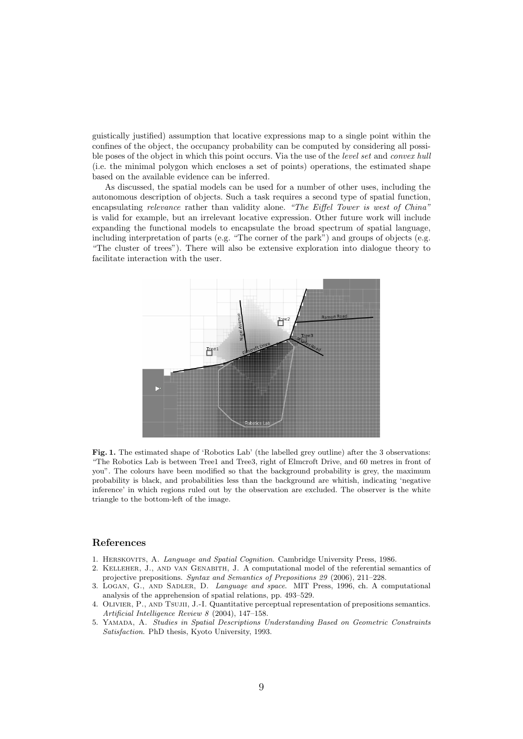guistically justified) assumption that locative expressions map to a single point within the confines of the object, the occupancy probability can be computed by considering all possible poses of the object in which this point occurs. Via the use of the level set and convex hull (i.e. the minimal polygon which encloses a set of points) operations, the estimated shape based on the available evidence can be inferred.

As discussed, the spatial models can be used for a number of other uses, including the autonomous description of objects. Such a task requires a second type of spatial function, encapsulating relevance rather than validity alone. "The Eiffel Tower is west of China" is valid for example, but an irrelevant locative expression. Other future work will include expanding the functional models to encapsulate the broad spectrum of spatial language, including interpretation of parts (e.g. "The corner of the park") and groups of objects (e.g. "The cluster of trees"). There will also be extensive exploration into dialogue theory to facilitate interaction with the user.



Fig. 1. The estimated shape of 'Robotics Lab' (the labelled grey outline) after the 3 observations: "The Robotics Lab is between Tree1 and Tree3, right of Elmcroft Drive, and 60 metres in front of you". The colours have been modified so that the background probability is grey, the maximum probability is black, and probabilities less than the background are whitish, indicating 'negative inference' in which regions ruled out by the observation are excluded. The observer is the white triangle to the bottom-left of the image.

- 1. Herskovits, A. Language and Spatial Cognition. Cambridge University Press, 1986.
- 2. Kelleher, J., and van Genabith, J. A computational model of the referential semantics of projective prepositions. Syntax and Semantics of Prepositions 29 (2006), 211–228.
- 3. Logan, G., and Sadler, D. Language and space. MIT Press, 1996, ch. A computational analysis of the apprehension of spatial relations, pp. 493–529.
- 4. Olivier, P., and Tsujii, J.-I. Quantitative perceptual representation of prepositions semantics. Artificial Intelligence Review 8 (2004), 147–158.
- 5. Yamada, A. Studies in Spatial Descriptions Understanding Based on Geometric Constraints Satisfaction. PhD thesis, Kyoto University, 1993.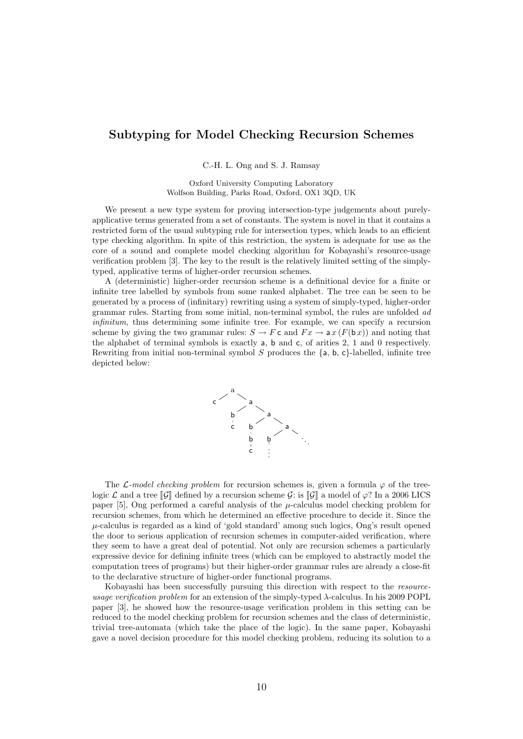## <span id="page-10-0"></span>Subtyping for Model Checking Recursion Schemes

C.-H. L. Ong and S. J. Ramsay

Oxford University Computing Laboratory Wolfson Building, Parks Road, Oxford, OX1 3QD, UK

We present a new type system for proving intersection-type judgements about purelyapplicative terms generated from a set of constants. The system is novel in that it contains a restricted form of the usual subtyping rule for intersection types, which leads to an efficient type checking algorithm. In spite of this restriction, the system is adequate for use as the core of a sound and complete model checking algorithm for Kobayashi's resource-usage verification problem [3]. The key to the result is the relatively limited setting of the simplytyped, applicative terms of higher-order recursion schemes.

A (deterministic) higher-order recursion scheme is a definitional device for a finite or infinite tree labelled by symbols from some ranked alphabet. The tree can be seen to be generated by a process of (infinitary) rewriting using a system of simply-typed, higher-order grammar rules. Starting from some initial, non-terminal symbol, the rules are unfolded ad infinitum, thus determining some infinite tree. For example, we can specify a recursion scheme by giving the two grammar rules:  $S \to F \subset \text{and } Fx \to a \, x \, (F(b \, x))$  and noting that the alphabet of terminal symbols is exactly a, b and c, of arities 2, 1 and 0 respectively. Rewriting from initial non-terminal symbol  $S$  produces the  ${a, b, c}$ -labelled, infinite tree depicted below:



The L-model checking problem for recursion schemes is, given a formula  $\varphi$  of the treelogic L and a tree  $\llbracket \mathcal{G} \rrbracket$  defined by a recursion scheme G: is  $\llbracket \mathcal{G} \rrbracket$  a model of  $\varphi$ ? In a 2006 LICS paper [5], Ong performed a careful analysis of the  $\mu$ -calculus model checking problem for recursion schemes, from which he determined an effective procedure to decide it. Since the  $\mu$ -calculus is regarded as a kind of 'gold standard' among such logics, Ong's result opened the door to serious application of recursion schemes in computer-aided verification, where they seem to have a great deal of potential. Not only are recursion schemes a particularly expressive device for defining infinite trees (which can be employed to abstractly model the computation trees of programs) but their higher-order grammar rules are already a close-fit to the declarative structure of higher-order functional programs.

Kobayashi has been successfully pursuing this direction with respect to the resourceusage verification problem for an extension of the simply-typed λ-calculus. In his 2009 POPL paper [3], he showed how the resource-usage verification problem in this setting can be reduced to the model checking problem for recursion schemes and the class of deterministic, trivial tree-automata (which take the place of the logic). In the same paper, Kobayashi gave a novel decision procedure for this model checking problem, reducing its solution to a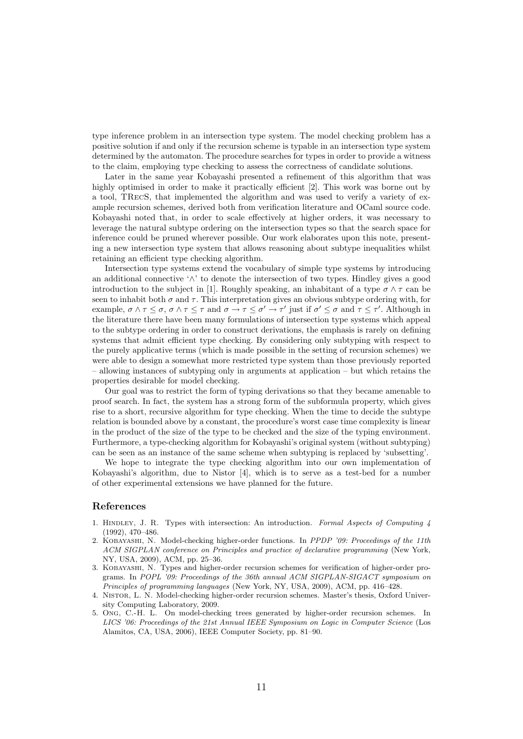type inference problem in an intersection type system. The model checking problem has a positive solution if and only if the recursion scheme is typable in an intersection type system determined by the automaton. The procedure searches for types in order to provide a witness to the claim, employing type checking to assess the correctness of candidate solutions.

Later in the same year Kobayashi presented a refinement of this algorithm that was highly optimised in order to make it practically efficient [2]. This work was borne out by a tool, TRecS, that implemented the algorithm and was used to verify a variety of example recursion schemes, derived both from verification literature and OCaml source code. Kobayashi noted that, in order to scale effectively at higher orders, it was necessary to leverage the natural subtype ordering on the intersection types so that the search space for inference could be pruned wherever possible. Our work elaborates upon this note, presenting a new intersection type system that allows reasoning about subtype inequalities whilst retaining an efficient type checking algorithm.

Intersection type systems extend the vocabulary of simple type systems by introducing an additional connective '∧' to denote the intersection of two types. Hindley gives a good introduction to the subject in [1]. Roughly speaking, an inhabitant of a type  $\sigma \wedge \tau$  can be seen to inhabit both  $\sigma$  and  $\tau$ . This interpretation gives an obvious subtype ordering with, for example,  $\sigma \wedge \tau \leq \sigma$ ,  $\sigma \wedge \tau \leq \tau$  and  $\sigma \to \tau \leq \sigma' \to \tau'$  just if  $\sigma' \leq \sigma$  and  $\tau \leq \tau'$ . Although in the literature there have been many formulations of intersection type systems which appeal to the subtype ordering in order to construct derivations, the emphasis is rarely on defining systems that admit efficient type checking. By considering only subtyping with respect to the purely applicative terms (which is made possible in the setting of recursion schemes) we were able to design a somewhat more restricted type system than those previously reported – allowing instances of subtyping only in arguments at application – but which retains the properties desirable for model checking.

Our goal was to restrict the form of typing derivations so that they became amenable to proof search. In fact, the system has a strong form of the subformula property, which gives rise to a short, recursive algorithm for type checking. When the time to decide the subtype relation is bounded above by a constant, the procedure's worst case time complexity is linear in the product of the size of the type to be checked and the size of the typing environment. Furthermore, a type-checking algorithm for Kobayashi's original system (without subtyping) can be seen as an instance of the same scheme when subtyping is replaced by 'subsetting'.

We hope to integrate the type checking algorithm into our own implementation of Kobayashi's algorithm, due to Nistor [4], which is to serve as a test-bed for a number of other experimental extensions we have planned for the future.

- 1. HINDLEY, J. R. Types with intersection: An introduction. Formal Aspects of Computing 4 (1992), 470–486.
- 2. Kobayashi, N. Model-checking higher-order functions. In PPDP '09: Proceedings of the 11th ACM SIGPLAN conference on Principles and practice of declarative programming (New York, NY, USA, 2009), ACM, pp. 25–36.
- 3. Kobayashi, N. Types and higher-order recursion schemes for verification of higher-order programs. In POPL '09: Proceedings of the 36th annual ACM SIGPLAN-SIGACT symposium on Principles of programming languages (New York, NY, USA, 2009), ACM, pp. 416–428.
- 4. Nistor, L. N. Model-checking higher-order recursion schemes. Master's thesis, Oxford University Computing Laboratory, 2009.
- 5. Ong, C.-H. L. On model-checking trees generated by higher-order recursion schemes. In LICS '06: Proceedings of the 21st Annual IEEE Symposium on Logic in Computer Science (Los Alamitos, CA, USA, 2006), IEEE Computer Society, pp. 81–90.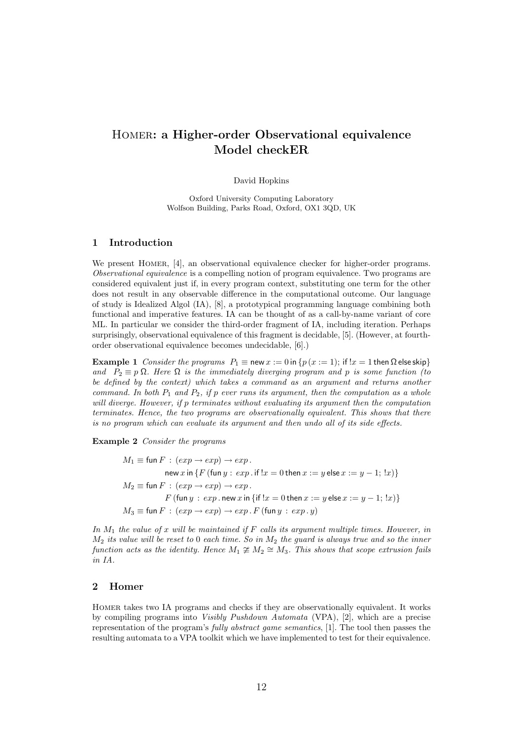# <span id="page-12-0"></span>HOMER: a Higher-order Observational equivalence Model checkER

David Hopkins

Oxford University Computing Laboratory Wolfson Building, Parks Road, Oxford, OX1 3QD, UK

### 1 Introduction

We present HOMER, [4], an observational equivalence checker for higher-order programs. Observational equivalence is a compelling notion of program equivalence. Two programs are considered equivalent just if, in every program context, substituting one term for the other does not result in any observable difference in the computational outcome. Our language of study is Idealized Algol (IA), [8], a prototypical programming language combining both functional and imperative features. IA can be thought of as a call-by-name variant of core ML. In particular we consider the third-order fragment of IA, including iteration. Perhaps surprisingly, observational equivalence of this fragment is decidable, [5]. (However, at fourthorder observational equivalence becomes undecidable, [6].)

Example 1 Consider the programs  $P_1 \equiv$  new  $x := 0$  in  $\{p(x := 1);$  if  $!x = 1$  then  $\Omega$  else skip and  $P_2 \equiv p \Omega$ . Here  $\Omega$  is the immediately diverging program and p is some function (to be defined by the context) which takes a command as an argument and returns another command. In both  $P_1$  and  $P_2$ , if p ever runs its argument, then the computation as a whole will diverge. However, if p terminates without evaluating its argument then the computation terminates. Hence, the two programs are observationally equivalent. This shows that there is no program which can evaluate its argument and then undo all of its side effects.

Example 2 Consider the programs

 $M_1 \equiv$  fun  $F : (exp \rightarrow exp) \rightarrow exp$ . new x in {F (fun y : exp. if ! $x = 0$  then  $x := y$  else  $x := y - 1$ ; !x)}  $M_2 \equiv \text{fun } F : (exp \rightarrow exp) \rightarrow exp$ . F (fun  $y : exp$  . new  $x$  in {if ! $x = 0$  then  $x := y$  else  $x := y - 1$ ; ! $x$ }}  $M_3 \equiv$  fun  $F : (exp \rightarrow exp) \rightarrow exp . F$  (fun  $y : exp . y$ )

In  $M_1$  the value of x will be maintained if F calls its argument multiple times. However, in  $M_2$  its value will be reset to 0 each time. So in  $M_2$  the guard is always true and so the inner function acts as the identity. Hence  $M_1 \ncong M_2 \cong M_3$ . This shows that scope extrusion fails in IA.

### 2 Homer

Homer takes two IA programs and checks if they are observationally equivalent. It works by compiling programs into Visibly Pushdown Automata (VPA), [2], which are a precise representation of the program's fully abstract game semantics, [1]. The tool then passes the resulting automata to a VPA toolkit which we have implemented to test for their equivalence.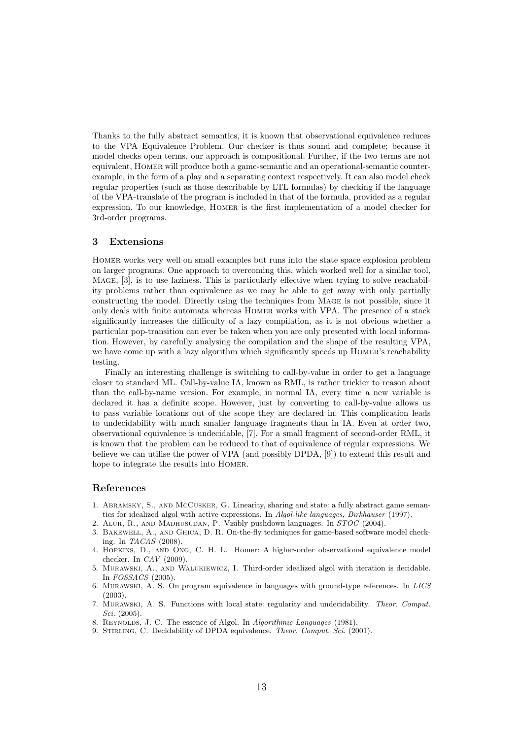Thanks to the fully abstract semantics, it is known that observational equivalence reduces to the VPA Equivalence Problem. Our checker is thus sound and complete; because it model checks open terms, our approach is compositional. Further, if the two terms are not equivalent, Homer will produce both a game-semantic and an operational-semantic counterexample, in the form of a play and a separating context respectively. It can also model check regular properties (such as those describable by LTL formulas) by checking if the language of the VPA-translate of the program is included in that of the formula, provided as a regular expression. To our knowledge, Homer is the first implementation of a model checker for 3rd-order programs.

### 3 Extensions

Homer works very well on small examples but runs into the state space explosion problem on larger programs. One approach to overcoming this, which worked well for a similar tool, Mage, [3], is to use laziness. This is particularly effective when trying to solve reachability problems rather than equivalence as we may be able to get away with only partially constructing the model. Directly using the techniques from Mage is not possible, since it only deals with finite automata whereas Homer works with VPA. The presence of a stack significantly increases the difficulty of a lazy compilation, as it is not obvious whether a particular pop-transition can ever be taken when you are only presented with local information. However, by carefully analysing the compilation and the shape of the resulting VPA, we have come up with a lazy algorithm which significantly speeds up HOMER's reachability testing.

Finally an interesting challenge is switching to call-by-value in order to get a language closer to standard ML. Call-by-value IA, known as RML, is rather trickier to reason about than the call-by-name version. For example, in normal IA, every time a new variable is declared it has a definite scope. However, just by converting to call-by-value allows us to pass variable locations out of the scope they are declared in. This complication leads to undecidability with much smaller language fragments than in IA. Even at order two, observational equivalence is undecidable, [7]. For a small fragment of second-order RML, it is known that the problem can be reduced to that of equivalence of regular expressions. We believe we can utilise the power of VPA (and possibly DPDA, [9]) to extend this result and hope to integrate the results into Homer.

- 1. Abramsky, S., and McCusker, G. Linearity, sharing and state: a fully abstract game semantics for idealized algol with active expressions. In Algol-like languages, Birkhauser (1997).
- 2. Alur, R., and Madhusudan, P. Visibly pushdown languages. In STOC (2004).
- 3. Bakewell, A., and Ghica, D. R. On-the-fly techniques for game-based software model checking. In TACAS (2008).
- 4. Hopkins, D., and Ong, C. H. L. Homer: A higher-order observational equivalence model checker. In CAV (2009).
- 5. Murawski, A., and Walukiewicz, I. Third-order idealized algol with iteration is decidable. In FOSSACS (2005).
- 6. Murawski, A. S. On program equivalence in languages with ground-type references. In LICS (2003).
- 7. Murawski, A. S. Functions with local state: regularity and undecidability. Theor. Comput. Sci. (2005).
- 8. REYNOLDS, J. C. The essence of Algol. In Algorithmic Languages (1981).
- 9. STIRLING, C. Decidability of DPDA equivalence. Theor. Comput. Sci. (2001).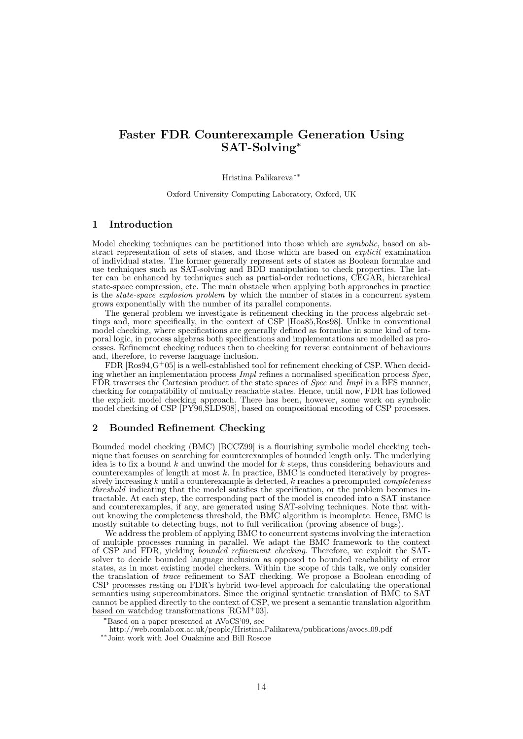## <span id="page-14-0"></span>Faster FDR Counterexample Generation Using SAT-Solving<sup>∗</sup>

#### Hristina Palikareva∗∗

Oxford University Computing Laboratory, Oxford, UK

## 1 Introduction

Model checking techniques can be partitioned into those which are *symbolic*, based on abstract representation of sets of states, and those which are based on explicit examination of individual states. The former generally represent sets of states as Boolean formulae and use techniques such as SAT-solving and BDD manipulation to check properties. The latter can be enhanced by techniques such as partial-order reductions, CEGAR, hierarchical state-space compression, etc. The main obstacle when applying both approaches in practice is the state-space explosion problem by which the number of states in a concurrent system grows exponentially with the number of its parallel components.

The general problem we investigate is refinement checking in the process algebraic settings and, more specifically, in the context of CSP [Hoa85,Ros98]. Unlike in conventional model checking, where specifications are generally defined as formulae in some kind of temporal logic, in process algebras both specifications and implementations are modelled as processes. Refinement checking reduces then to checking for reverse containment of behaviours and, therefore, to reverse language inclusion.

FDR  $[Ros94, G<sup>+</sup>05]$  is a well-established tool for refinement checking of CSP. When deciding whether an implementation process Impl refines a normalised specification process Spec, FDR traverses the Cartesian product of the state spaces of *Spec* and *Impl* in a BFS manner, checking for compatibility of mutually reachable states. Hence, until now, FDR has followed the explicit model checking approach. There has been, however, some work on symbolic model checking of CSP [PY96,SLDS08], based on compositional encoding of CSP processes.

#### 2 Bounded Refinement Checking

Bounded model checking (BMC) [BCCZ99] is a flourishing symbolic model checking technique that focuses on searching for counterexamples of bounded length only. The underlying idea is to fix a bound k and unwind the model for  $k$  steps, thus considering behaviours and counterexamples of length at most  $k$ . In practice, BMC is conducted iteratively by progressively increasing  $k$  until a counterexample is detected,  $k$  reaches a precomputed *completeness* threshold indicating that the model satisfies the specification, or the problem becomes intractable. At each step, the corresponding part of the model is encoded into a SAT instance and counterexamples, if any, are generated using SAT-solving techniques. Note that without knowing the completeness threshold, the BMC algorithm is incomplete. Hence, BMC is mostly suitable to detecting bugs, not to full verification (proving absence of bugs).

We address the problem of applying BMC to concurrent systems involving the interaction of multiple processes running in parallel. We adapt the BMC framework to the context of CSP and FDR, yielding bounded refinement checking. Therefore, we exploit the SATsolver to decide bounded language inclusion as opposed to bounded reachability of error states, as in most existing model checkers. Within the scope of this talk, we only consider the translation of *trace* refinement to SAT checking. We propose a Boolean encoding of CSP processes resting on FDR's hybrid two-level approach for calculating the operational semantics using supercombinators. Since the original syntactic translation of BMC to SAT cannot be applied directly to the context of CSP, we present a semantic translation algorithm based on watchdog transformations [RGM<sup>+</sup>03].

<sup>∗</sup>Based on a paper presented at AVoCS'09, see

- http://web.comlab.ox.ac.uk/people/Hristina.Palikareva/publications/avocs 09.pdf
- ∗∗Joint work with Joel Ouaknine and Bill Roscoe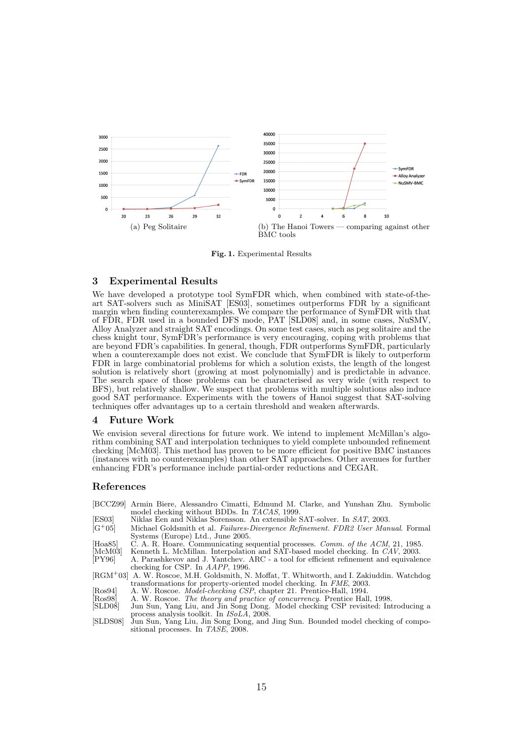

Fig. 1. Experimental Results

#### 3 Experimental Results

We have developed a prototype tool SymFDR which, when combined with state-of-theart SAT-solvers such as MiniSAT [ES03], sometimes outperforms FDR by a significant margin when finding counterexamples. We compare the performance of SymFDR with that of FDR, FDR used in a bounded DFS mode, PAT [SLD08] and, in some cases, NuSMV, Alloy Analyzer and straight SAT encodings. On some test cases, such as peg solitaire and the chess knight tour, SymFDR's performance is very encouraging, coping with problems that are beyond FDR's capabilities. In general, though, FDR outperforms SymFDR, particularly when a counterexample does not exist. We conclude that SymFDR is likely to outperform FDR in large combinatorial problems for which a solution exists, the length of the longest solution is relatively short (growing at most polynomially) and is predictable in advance. The search space of those problems can be characterised as very wide (with respect to BFS), but relatively shallow. We suspect that problems with multiple solutions also induce good SAT performance. Experiments with the towers of Hanoi suggest that SAT-solving techniques offer advantages up to a certain threshold and weaken afterwards.

#### 4 Future Work

We envision several directions for future work. We intend to implement McMillan's algorithm combining SAT and interpolation techniques to yield complete unbounded refinement checking [McM03]. This method has proven to be more efficient for positive BMC instances (instances with no counterexamples) than other SAT approaches. Other avenues for further enhancing FDR's performance include partial-order reductions and CEGAR.

- [BCCZ99] Armin Biere, Alessandro Cimatti, Edmund M. Clarke, and Yunshan Zhu. Symbolic model checking without BDDs. In TACAS, 1999.
- [ES03] Niklas Een and Niklas Sorensson. An extensible SAT-solver. In SAT, 2003.<br>[G<sup>+</sup>05] Michael Goldsmith et al. Failures-Divergence Refinement. FDR2 User Man
- Michael Goldsmith et al. Failures-Divergence Refinement. FDR2 User Manual. Formal Systems (Europe) Ltd., June 2005.
- [Hoa85] C. A. R. Hoare. Communicating sequential processes. Comm. of the ACM, 21, 1985.
- [McM03] Kenneth L. McMillan. Interpolation and SAT-based model checking. In CAV, 2003. [PY96] A. Parashkevov and J. Yantchev. ARC - a tool for efficient refinement and equivalence
- checking for CSP. In AAPP, 1996. [RGM<sup>+</sup>03] A. W. Roscoe, M.H. Goldsmith, N. Moffat, T. Whitworth, and I. Zakiuddin. Watchdog
	- transformations for property-oriented model checking. In FME, 2003.
	- [Ros94] A. W. Roscoe. *Model-checking CSP*, chapter 21. Prentice-Hall, 1994.<br>[Ros98] A. W. Roscoe. *The theory and practice of concurrency*. Prentice Hal
	- [Ros98] A. W. Roscoe. The theory and practice of concurrency. Prentice Hall, 1998. [SLD08] Jun Sun, Yang Liu, and Jin Song Dong. Model checking CSP revisited: Introducing a
	- process analysis toolkit. In ISoLA, 2008.
	- [SLDS08] Jun Sun, Yang Liu, Jin Song Dong, and Jing Sun. Bounded model checking of compositional processes. In TASE, 2008.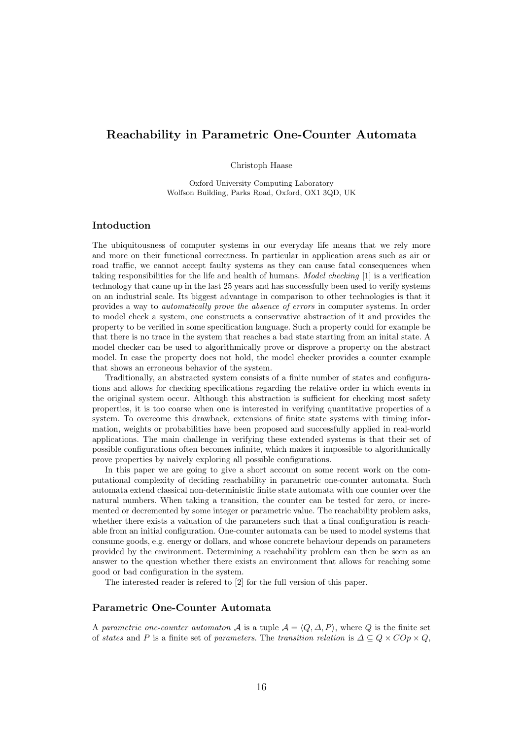## <span id="page-16-0"></span>Reachability in Parametric One-Counter Automata

Christoph Haase

Oxford University Computing Laboratory Wolfson Building, Parks Road, Oxford, OX1 3QD, UK

## Intoduction

The ubiquitousness of computer systems in our everyday life means that we rely more and more on their functional correctness. In particular in application areas such as air or road traffic, we cannot accept faulty systems as they can cause fatal consequences when taking responsibilities for the life and health of humans. Model checking [1] is a verification technology that came up in the last 25 years and has successfully been used to verify systems on an industrial scale. Its biggest advantage in comparison to other technologies is that it provides a way to automatically prove the absence of errors in computer systems. In order to model check a system, one constructs a conservative abstraction of it and provides the property to be verified in some specification language. Such a property could for example be that there is no trace in the system that reaches a bad state starting from an inital state. A model checker can be used to algorithmically prove or disprove a property on the abstract model. In case the property does not hold, the model checker provides a counter example that shows an erroneous behavior of the system.

Traditionally, an abstracted system consists of a finite number of states and configurations and allows for checking specifications regarding the relative order in which events in the original system occur. Although this abstraction is sufficient for checking most safety properties, it is too coarse when one is interested in verifying quantitative properties of a system. To overcome this drawback, extensions of finite state systems with timing information, weights or probabilities have been proposed and successfully applied in real-world applications. The main challenge in verifying these extended systems is that their set of possible configurations often becomes infinite, which makes it impossible to algorithmically prove properties by naively exploring all possible configurations.

In this paper we are going to give a short account on some recent work on the computational complexity of deciding reachability in parametric one-counter automata. Such automata extend classical non-deterministic finite state automata with one counter over the natural numbers. When taking a transition, the counter can be tested for zero, or incremented or decremented by some integer or parametric value. The reachability problem asks, whether there exists a valuation of the parameters such that a final configuration is reachable from an initial configuration. One-counter automata can be used to model systems that consume goods, e.g. energy or dollars, and whose concrete behaviour depends on parameters provided by the environment. Determining a reachability problem can then be seen as an answer to the question whether there exists an environment that allows for reaching some good or bad configuration in the system.

The interested reader is refered to [2] for the full version of this paper.

### Parametric One-Counter Automata

A parametric one-counter automaton A is a tuple  $\mathcal{A} = \langle Q, \Delta, P \rangle$ , where Q is the finite set of states and P is a finite set of parameters. The transition relation is  $\Delta \subseteq Q \times COp \times Q$ ,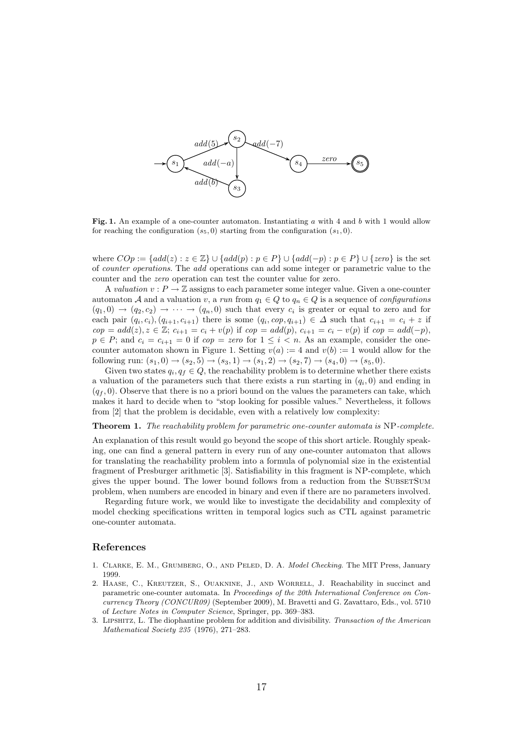

Fig. 1. An example of a one-counter automaton. Instantiating  $a$  with 4 and  $b$  with 1 would allow for reaching the configuration  $(s_5, 0)$  starting from the configuration  $(s_1, 0)$ .

where  $COp := \{add(z) : z \in \mathbb{Z}\} \cup \{add(p) : p \in P\} \cup \{add(-p) : p \in P\} \cup \{zero\}$  is the set of counter operations. The add operations can add some integer or parametric value to the counter and the zero operation can test the counter value for zero.

A valuation  $v : P \to \mathbb{Z}$  assigns to each parameter some integer value. Given a one-counter automaton A and a valuation v, a run from  $q_1 \in Q$  to  $q_n \in Q$  is a sequence of configurations  $(q_1, 0) \rightarrow (q_2, c_2) \rightarrow \cdots \rightarrow (q_n, 0)$  such that every  $c_i$  is greater or equal to zero and for each pair  $(q_i, c_i), (q_{i+1}, c_{i+1})$  there is some  $(q_i, cop, q_{i+1}) \in \Delta$  such that  $c_{i+1} = c_i + z$  if  $cop = add(z), z \in \mathbb{Z}; c_{i+1} = c_i + v(p)$  if  $cop = add(p), c_{i+1} = c_i - v(p)$  if  $cop = add(-p),$  $p \in P$ ; and  $c_i = c_{i+1} = 0$  if  $cop = zero$  for  $1 \leq i < n$ . As an example, consider the onecounter automaton shown in Figure 1. Setting  $v(a) := 4$  and  $v(b) := 1$  would allow for the following run:  $(s_1, 0) \rightarrow (s_2, 5) \rightarrow (s_3, 1) \rightarrow (s_1, 2) \rightarrow (s_2, 7) \rightarrow (s_4, 0) \rightarrow (s_5, 0)$ .

Given two states  $q_i, q_f \in Q$ , the reachability problem is to determine whether there exists a valuation of the parameters such that there exists a run starting in  $(q_i, 0)$  and ending in  $(q_f, 0)$ . Observe that there is no a priori bound on the values the parameters can take, which makes it hard to decide when to "stop looking for possible values." Nevertheless, it follows from [2] that the problem is decidable, even with a relatively low complexity:

#### Theorem 1. The reachability problem for parametric one-counter automata is NP-complete.

An explanation of this result would go beyond the scope of this short article. Roughly speaking, one can find a general pattern in every run of any one-counter automaton that allows for translating the reachability problem into a formula of polynomial size in the existential fragment of Presburger arithmetic [3]. Satisfiability in this fragment is NP-complete, which gives the upper bound. The lower bound follows from a reduction from the SUBSETSUM problem, when numbers are encoded in binary and even if there are no parameters involved.

Regarding future work, we would like to investigate the decidability and complexity of model checking specifications written in temporal logics such as CTL against parametric one-counter automata.

- 1. Clarke, E. M., Grumberg, O., and Peled, D. A. Model Checking. The MIT Press, January 1999.
- 2. Haase, C., Kreutzer, S., Ouaknine, J., and Worrell, J. Reachability in succinct and parametric one-counter automata. In Proceedings of the 20th International Conference on Concurrency Theory (CONCUR09) (September 2009), M. Bravetti and G. Zavattaro, Eds., vol. 5710 of Lecture Notes in Computer Science, Springer, pp. 369–383.
- 3. Lipshitz, L. The diophantine problem for addition and divisibility. Transaction of the American Mathematical Society 235 (1976), 271–283.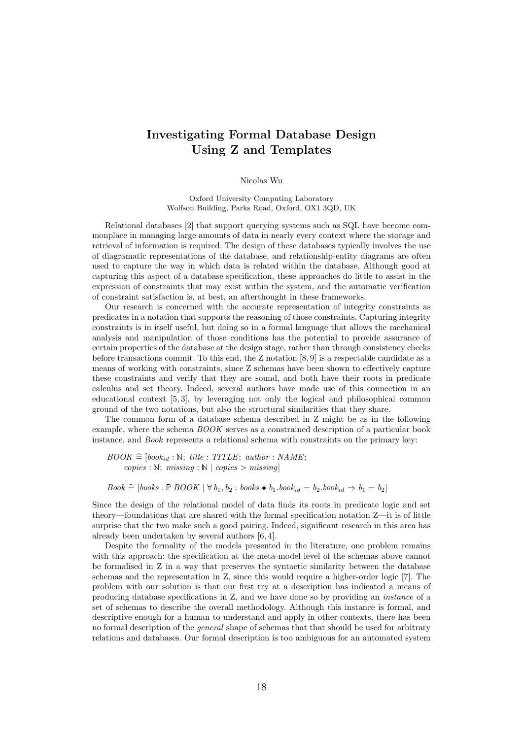# <span id="page-18-0"></span>Investigating Formal Database Design Using Z and Templates

Nicolas Wu

Oxford University Computing Laboratory Wolfson Building, Parks Road, Oxford, OX1 3QD, UK

Relational databases [2] that support querying systems such as SQL have become commonplace in managing large amounts of data in nearly every context where the storage and retrieval of information is required. The design of these databases typically involves the use of diagramatic representations of the database, and relationship-entity diagrams are often used to capture the way in which data is related within the database. Although good at capturing this aspect of a database specification, these approaches do little to assist in the expression of constraints that may exist within the system, and the automatic verification of constraint satisfaction is, at best, an afterthought in these frameworks.

Our research is concerned with the accurate representation of integrity constraints as predicates in a notation that supports the reasoning of those constraints. Capturing integrity constraints is in itself useful, but doing so in a formal language that allows the mechanical analysis and manipulation of those conditions has the potential to provide assurance of certain properties of the database at the design stage, rather than through consistency checks before transactions commit. To this end, the Z notation [8, 9] is a respectable candidate as a means of working with constraints, since Z schemas have been shown to effectively capture these constraints and verify that they are sound, and both have their roots in predicate calculus and set theory. Indeed, several authors have made use of this connection in an educational context [5, 3], by leveraging not only the logical and philosophical common ground of the two notations, but also the structural similarities that they share.

The common form of a database schema described in Z might be as in the following example, where the schema BOOK serves as a constrained description of a particular book instance, and *Book* represents a relational schema with constraints on the primary key:

 $BOOK \cong [book_{id} : \mathbb{N}; title : TITLE; author : NAME;$  $conies : \mathbb{N}: \text{ missing : } \mathbb{N} \text{ | } \text{conies } > \text{ missing}$ 

 $Book \cong [books : \mathbb{P} \, BOOK \mid \forall \, b_1, b_2 : books \bullet \, b_1 \ldots \bullet \, b_2 \ldots \bullet \, b_2]$ 

Since the design of the relational model of data finds its roots in predicate logic and set theory—foundations that are shared with the formal specification notation Z—it is of little surprise that the two make such a good pairing. Indeed, significant research in this area has already been undertaken by several authors [6, 4].

Despite the formality of the models presented in the literature, one problem remains with this approach: the specification at the meta-model level of the schemas above cannot be formalised in Z in a way that preserves the syntactic similarity between the database schemas and the representation in Z, since this would require a higher-order logic [7]. The problem with our solution is that our first try at a description has indicated a means of producing database specifications in Z, and we have done so by providing an instance of a set of schemas to describe the overall methodology. Although this instance is formal, and descriptive enough for a human to understand and apply in other contexts, there has been no formal description of the general shape of schemas that that should be used for arbitrary relations and databases. Our formal description is too ambiguous for an automated system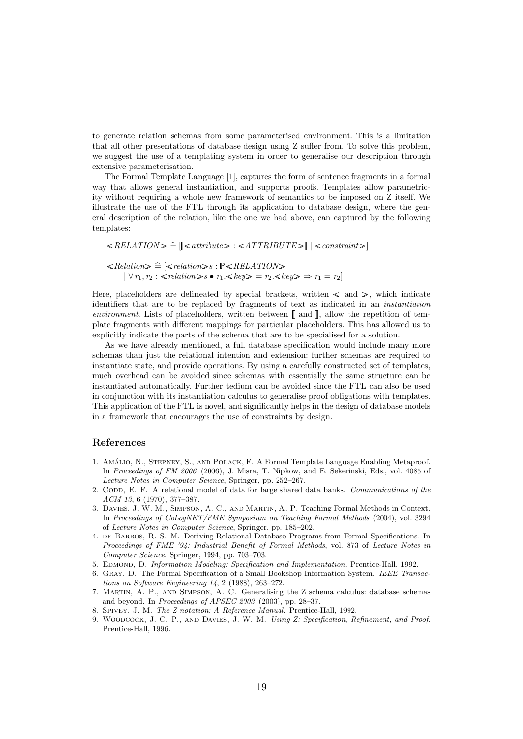to generate relation schemas from some parameterised environment. This is a limitation that all other presentations of database design using Z suffer from. To solve this problem, we suggest the use of a templating system in order to generalise our description through extensive parameterisation.

The Formal Template Language [1], captures the form of sentence fragments in a formal way that allows general instantiation, and supports proofs. Templates allow parametricity without requiring a whole new framework of semantics to be imposed on Z itself. We illustrate the use of the FTL through its application to database design, where the general description of the relation, like the one we had above, can captured by the following templates:

 $\leq RELATION \geq \hat{=} \leq attribute \geq : \leq ATRIBUTE > || \leq constraint > ||$ 

 $\leq$  Relation  $\geq$   $\cong$   $\leq$  relation  $\geq$   $s$  :  $\mathbb{P} \leq$  RELATION  $\geq$  $|\forall r_1, r_2 : \leq$ relation >  $s \bullet r_1 \leq key \geq r_2 \leq key \geq r_1 = r_2$ 

Here, placeholders are delineated by special brackets, written  $\leq$  and  $\geq$ , which indicate identifiers that are to be replaced by fragments of text as indicated in an instantiation environment. Lists of placeholders, written between  $\llbracket$  and  $\rrbracket$ , allow the repetition of template fragments with different mappings for particular placeholders. This has allowed us to explicitly indicate the parts of the schema that are to be specialised for a solution.

As we have already mentioned, a full database specification would include many more schemas than just the relational intention and extension: further schemas are required to instantiate state, and provide operations. By using a carefully constructed set of templates, much overhead can be avoided since schemas with essentially the same structure can be instantiated automatically. Further tedium can be avoided since the FTL can also be used in conjunction with its instantiation calculus to generalise proof obligations with templates. This application of the FTL is novel, and significantly helps in the design of database models in a framework that encourages the use of constraints by design.

- 1. AMÁLIO, N., STEPNEY, S., AND POLACK, F. A Formal Template Language Enabling Metaproof. In Proceedings of FM 2006 (2006), J. Misra, T. Nipkow, and E. Sekerinski, Eds., vol. 4085 of Lecture Notes in Computer Science, Springer, pp. 252–267.
- 2. CODD, E. F. A relational model of data for large shared data banks. Communications of the ACM 13, 6 (1970), 377–387.
- 3. Davies, J. W. M., Simpson, A. C., and Martin, A. P. Teaching Formal Methods in Context. In Proceedings of CoLogNET/FME Symposium on Teaching Formal Methods (2004), vol. 3294 of Lecture Notes in Computer Science, Springer, pp. 185–202.
- 4. de Barros, R. S. M. Deriving Relational Database Programs from Formal Specifications. In Proceedings of FME '94: Industrial Benefit of Formal Methods, vol. 873 of Lecture Notes in Computer Science. Springer, 1994, pp. 703–703.
- 5. Edmond, D. Information Modeling: Specification and Implementation. Prentice-Hall, 1992.
- 6. Gray, D. The Formal Specification of a Small Bookshop Information System. IEEE Transactions on Software Engineering 14, 2 (1988), 263–272.
- 7. Martin, A. P., and Simpson, A. C. Generalising the Z schema calculus: database schemas and beyond. In Proceedings of APSEC 2003 (2003), pp. 28–37.
- 8. Spivey, J. M. The Z notation: A Reference Manual. Prentice-Hall, 1992.
- 9. Woodcock, J. C. P., and Davies, J. W. M. Using Z: Specification, Refinement, and Proof. Prentice-Hall, 1996.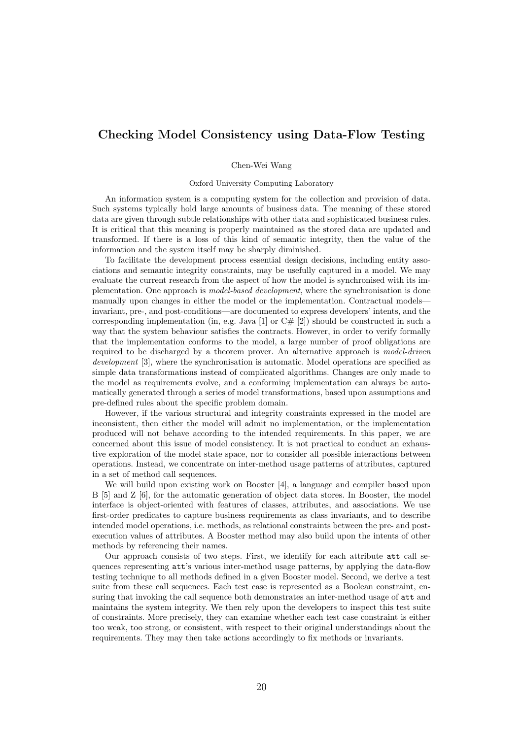# <span id="page-20-0"></span>Checking Model Consistency using Data-Flow Testing

#### Chen-Wei Wang

#### Oxford University Computing Laboratory

An information system is a computing system for the collection and provision of data. Such systems typically hold large amounts of business data. The meaning of these stored data are given through subtle relationships with other data and sophisticated business rules. It is critical that this meaning is properly maintained as the stored data are updated and transformed. If there is a loss of this kind of semantic integrity, then the value of the information and the system itself may be sharply diminished.

To facilitate the development process essential design decisions, including entity associations and semantic integrity constraints, may be usefully captured in a model. We may evaluate the current research from the aspect of how the model is synchronised with its implementation. One approach is model-based development, where the synchronisation is done manually upon changes in either the model or the implementation. Contractual models invariant, pre-, and post-conditions—are documented to express developers' intents, and the corresponding implementation (in, e.g. Java [1] or  $C \#$  [2]) should be constructed in such a way that the system behaviour satisfies the contracts. However, in order to verify formally that the implementation conforms to the model, a large number of proof obligations are required to be discharged by a theorem prover. An alternative approach is model-driven development [3], where the synchronisation is automatic. Model operations are specified as simple data transformations instead of complicated algorithms. Changes are only made to the model as requirements evolve, and a conforming implementation can always be automatically generated through a series of model transformations, based upon assumptions and pre-defined rules about the specific problem domain.

However, if the various structural and integrity constraints expressed in the model are inconsistent, then either the model will admit no implementation, or the implementation produced will not behave according to the intended requirements. In this paper, we are concerned about this issue of model consistency. It is not practical to conduct an exhaustive exploration of the model state space, nor to consider all possible interactions between operations. Instead, we concentrate on inter-method usage patterns of attributes, captured in a set of method call sequences.

We will build upon existing work on Booster [4], a language and compiler based upon B [5] and Z [6], for the automatic generation of object data stores. In Booster, the model interface is object-oriented with features of classes, attributes, and associations. We use first-order predicates to capture business requirements as class invariants, and to describe intended model operations, i.e. methods, as relational constraints between the pre- and postexecution values of attributes. A Booster method may also build upon the intents of other methods by referencing their names.

Our approach consists of two steps. First, we identify for each attribute att call sequences representing att's various inter-method usage patterns, by applying the data-flow testing technique to all methods defined in a given Booster model. Second, we derive a test suite from these call sequences. Each test case is represented as a Boolean constraint, ensuring that invoking the call sequence both demonstrates an inter-method usage of att and maintains the system integrity. We then rely upon the developers to inspect this test suite of constraints. More precisely, they can examine whether each test case constraint is either too weak, too strong, or consistent, with respect to their original understandings about the requirements. They may then take actions accordingly to fix methods or invariants.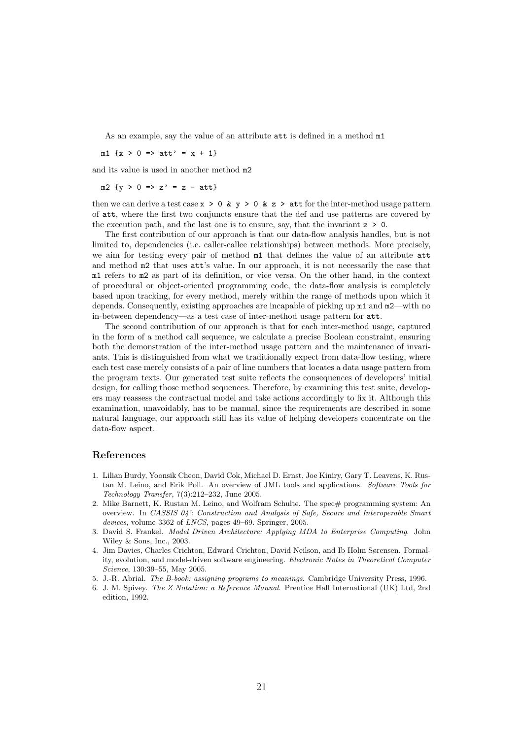As an example, say the value of an attribute att is defined in a method m1

m1  $\{x > 0 \Rightarrow \text{att'} = x + 1\}$ 

and its value is used in another method m2

m2  ${y > 0 \Rightarrow z' = z - att}$ 

then we can derive a test case  $x > 0$  &  $y > 0$  & z > att for the inter-method usage pattern of att, where the first two conjuncts ensure that the def and use patterns are covered by the execution path, and the last one is to ensure, say, that the invariant  $z > 0$ .

The first contribution of our approach is that our data-flow analysis handles, but is not limited to, dependencies (i.e. caller-callee relationships) between methods. More precisely, we aim for testing every pair of method m1 that defines the value of an attribute att and method m2 that uses att's value. In our approach, it is not necessarily the case that m1 refers to m2 as part of its definition, or vice versa. On the other hand, in the context of procedural or object-oriented programming code, the data-flow analysis is completely based upon tracking, for every method, merely within the range of methods upon which it depends. Consequently, existing approaches are incapable of picking up m1 and m2—with no in-between dependency—as a test case of inter-method usage pattern for att.

The second contribution of our approach is that for each inter-method usage, captured in the form of a method call sequence, we calculate a precise Boolean constraint, ensuring both the demonstration of the inter-method usage pattern and the maintenance of invariants. This is distinguished from what we traditionally expect from data-flow testing, where each test case merely consists of a pair of line numbers that locates a data usage pattern from the program texts. Our generated test suite reflects the consequences of developers' initial design, for calling those method sequences. Therefore, by examining this test suite, developers may reassess the contractual model and take actions accordingly to fix it. Although this examination, unavoidably, has to be manual, since the requirements are described in some natural language, our approach still has its value of helping developers concentrate on the data-flow aspect.

- 1. Lilian Burdy, Yoonsik Cheon, David Cok, Michael D. Ernst, Joe Kiniry, Gary T. Leavens, K. Rustan M. Leino, and Erik Poll. An overview of JML tools and applications. Software Tools for Technology Transfer, 7(3):212–232, June 2005.
- 2. Mike Barnett, K. Rustan M. Leino, and Wolfram Schulte. The spec# programming system: An overview. In CASSIS 04': Construction and Analysis of Safe, Secure and Interoperable Smart devices, volume 3362 of LNCS, pages 49–69. Springer, 2005.
- 3. David S. Frankel. Model Driven Architecture: Applying MDA to Enterprise Computing. John Wiley & Sons, Inc., 2003.
- 4. Jim Davies, Charles Crichton, Edward Crichton, David Neilson, and Ib Holm Sørensen. Formality, evolution, and model-driven software engineering. Electronic Notes in Theoretical Computer Science, 130:39–55, May 2005.
- 5. J.-R. Abrial. The B-book: assigning programs to meanings. Cambridge University Press, 1996.
- 6. J. M. Spivey. The Z Notation: a Reference Manual. Prentice Hall International (UK) Ltd, 2nd edition, 1992.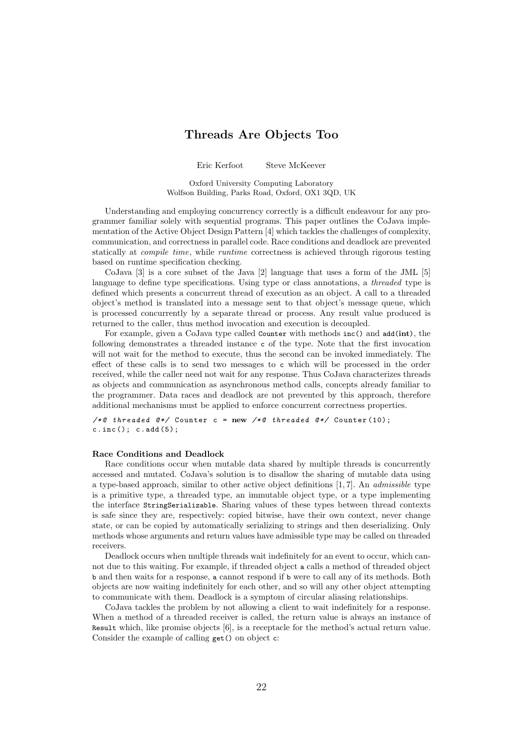# <span id="page-22-0"></span>Threads Are Objects Too

Eric Kerfoot Steve McKeever

Oxford University Computing Laboratory Wolfson Building, Parks Road, Oxford, OX1 3QD, UK

Understanding and employing concurrency correctly is a difficult endeavour for any programmer familiar solely with sequential programs. This paper outlines the CoJava implementation of the Active Object Design Pattern [4] which tackles the challenges of complexity, communication, and correctness in parallel code. Race conditions and deadlock are prevented statically at *compile time*, while *runtime* correctness is achieved through rigorous testing based on runtime specification checking.

CoJava [3] is a core subset of the Java [2] language that uses a form of the JML [5] language to define type specifications. Using type or class annotations, a threaded type is defined which presents a concurrent thread of execution as an object. A call to a threaded object's method is translated into a message sent to that object's message queue, which is processed concurrently by a separate thread or process. Any result value produced is returned to the caller, thus method invocation and execution is decoupled.

For example, given a CoJava type called Counter with methods inc() and add(int), the following demonstrates a threaded instance c of the type. Note that the first invocation will not wait for the method to execute, thus the second can be invoked immediately. The effect of these calls is to send two messages to c which will be processed in the order received, while the caller need not wait for any response. Thus CoJava characterizes threads as objects and communication as asynchronous method calls, concepts already familiar to the programmer. Data races and deadlock are not prevented by this approach, therefore additional mechanisms must be applied to enforce concurrent correctness properties.

```
/*@ threaded @*/ Counter c = new /*@ threaded @*/ Counter (10);
c.\texttt{inc}(); c.\texttt{add}(5);
```
#### Race Conditions and Deadlock

Race conditions occur when mutable data shared by multiple threads is concurrently accessed and mutated. CoJava's solution is to disallow the sharing of mutable data using a type-based approach, similar to other active object definitions [1, 7]. An admissible type is a primitive type, a threaded type, an immutable object type, or a type implementing the interface StringSerializable. Sharing values of these types between thread contexts is safe since they are, respectively: copied bitwise, have their own context, never change state, or can be copied by automatically serializing to strings and then deserializing. Only methods whose arguments and return values have admissible type may be called on threaded receivers.

Deadlock occurs when multiple threads wait indefinitely for an event to occur, which cannot due to this waiting. For example, if threaded object a calls a method of threaded object b and then waits for a response, a cannot respond if b were to call any of its methods. Both objects are now waiting indefinitely for each other, and so will any other object attempting to communicate with them. Deadlock is a symptom of circular aliasing relationships.

CoJava tackles the problem by not allowing a client to wait indefinitely for a response. When a method of a threaded receiver is called, the return value is always an instance of Result which, like promise objects [6], is a receptacle for the method's actual return value. Consider the example of calling get() on object c: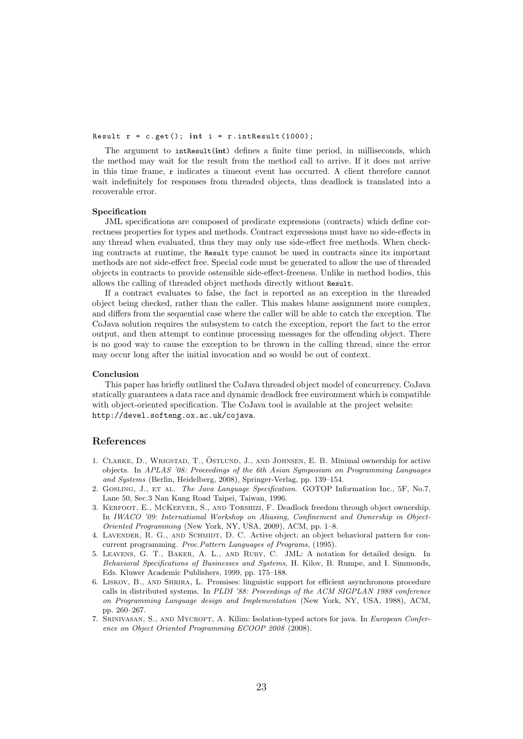#### Result  $r = c.get()$ ; int i = r. intResult (1000);

The argument to intResult(int) defines a finite time period, in milliseconds, which the method may wait for the result from the method call to arrive. If it does not arrive in this time frame, r indicates a timeout event has occurred. A client therefore cannot wait indefinitely for responses from threaded objects, thus deadlock is translated into a recoverable error.

#### Specification

JML specifications are composed of predicate expressions (contracts) which define correctness properties for types and methods. Contract expressions must have no side-effects in any thread when evaluated, thus they may only use side-effect free methods. When checking contracts at runtime, the Result type cannot be used in contracts since its important methods are not side-effect free. Special code must be generated to allow the use of threaded objects in contracts to provide ostensible side-effect-freeness. Unlike in method bodies, this allows the calling of threaded object methods directly without Result.

If a contract evaluates to false, the fact is reported as an exception in the threaded object being checked, rather than the caller. This makes blame assignment more complex, and differs from the sequential case where the caller will be able to catch the exception. The CoJava solution requires the subsystem to catch the exception, report the fact to the error output, and then attempt to continue processing messages for the offending object. There is no good way to cause the exception to be thrown in the calling thread, since the error may occur long after the initial invocation and so would be out of context.

#### Conclusion

This paper has briefly outlined the CoJava threaded object model of concurrency. CoJava statically guarantees a data race and dynamic deadlock free environment which is compatible with object-oriented specification. The CoJava tool is available at the project website: http://devel.softeng.ox.ac.uk/cojava.

- 1. CLARKE, D., WRIGSTAD, T., ÖSTLUND, J., AND JOHNSEN, E. B. Minimal ownership for active objects. In APLAS '08: Proceedings of the 6th Asian Symposium on Programming Languages and Systems (Berlin, Heidelberg, 2008), Springer-Verlag, pp. 139–154.
- 2. Gosling, J., et al. The Java Language Specification. GOTOP Information Inc., 5F, No.7, Lane 50, Sec.3 Nan Kang Road Taipei, Taiwan, 1996.
- 3. Kerfoot, E., McKeever, S., and Torshizi, F. Deadlock freedom through object ownership. In IWACO '09: International Workshop on Aliasing, Confinement and Ownership in Object-Oriented Programming (New York, NY, USA, 2009), ACM, pp. 1–8.
- 4. Lavender, R. G., and Schmidt, D. C. Active object: an object behavioral pattern for concurrent programming. Proc.Pattern Languages of Programs, (1995).
- 5. Leavens, G. T., Baker, A. L., and Ruby, C. JML: A notation for detailed design. In Behavioral Specifications of Businesses and Systems, H. Kilov, B. Rumpe, and I. Simmonds, Eds. Kluwer Academic Publishers, 1999, pp. 175–188.
- 6. Liskov, B., and Shrira, L. Promises: linguistic support for efficient asynchronous procedure calls in distributed systems. In PLDI '88: Proceedings of the ACM SIGPLAN 1988 conference on Programming Language design and Implementation (New York, NY, USA, 1988), ACM, pp. 260–267.
- 7. SRINIVASAN, S., AND MYCROFT, A. Kilim: Isolation-typed actors for java. In European Conference on Object Oriented Programming ECOOP 2008 (2008).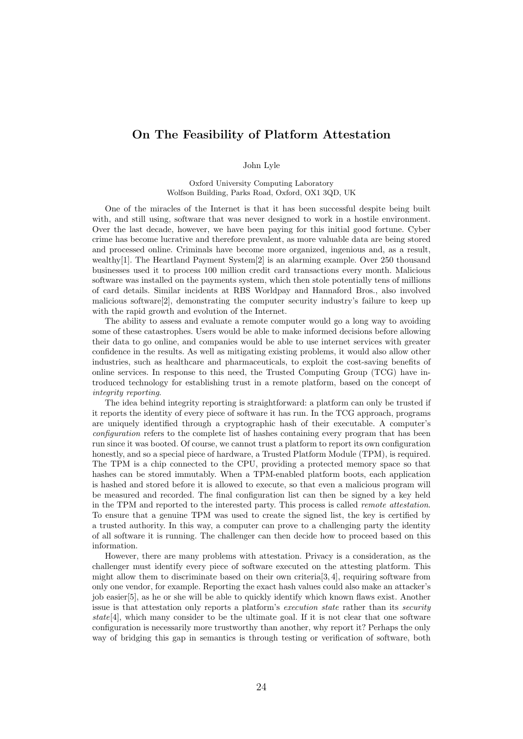# <span id="page-24-0"></span>On The Feasibility of Platform Attestation

John Lyle

Oxford University Computing Laboratory Wolfson Building, Parks Road, Oxford, OX1 3QD, UK

One of the miracles of the Internet is that it has been successful despite being built with, and still using, software that was never designed to work in a hostile environment. Over the last decade, however, we have been paying for this initial good fortune. Cyber crime has become lucrative and therefore prevalent, as more valuable data are being stored and processed online. Criminals have become more organized, ingenious and, as a result, wealthy[1]. The Heartland Payment System[2] is an alarming example. Over 250 thousand businesses used it to process 100 million credit card transactions every month. Malicious software was installed on the payments system, which then stole potentially tens of millions of card details. Similar incidents at RBS Worldpay and Hannaford Bros., also involved malicious software[2], demonstrating the computer security industry's failure to keep up with the rapid growth and evolution of the Internet.

The ability to assess and evaluate a remote computer would go a long way to avoiding some of these catastrophes. Users would be able to make informed decisions before allowing their data to go online, and companies would be able to use internet services with greater confidence in the results. As well as mitigating existing problems, it would also allow other industries, such as healthcare and pharmaceuticals, to exploit the cost-saving benefits of online services. In response to this need, the Trusted Computing Group (TCG) have introduced technology for establishing trust in a remote platform, based on the concept of integrity reporting.

The idea behind integrity reporting is straightforward: a platform can only be trusted if it reports the identity of every piece of software it has run. In the TCG approach, programs are uniquely identified through a cryptographic hash of their executable. A computer's configuration refers to the complete list of hashes containing every program that has been run since it was booted. Of course, we cannot trust a platform to report its own configuration honestly, and so a special piece of hardware, a Trusted Platform Module (TPM), is required. The TPM is a chip connected to the CPU, providing a protected memory space so that hashes can be stored immutably. When a TPM-enabled platform boots, each application is hashed and stored before it is allowed to execute, so that even a malicious program will be measured and recorded. The final configuration list can then be signed by a key held in the TPM and reported to the interested party. This process is called remote attestation. To ensure that a genuine TPM was used to create the signed list, the key is certified by a trusted authority. In this way, a computer can prove to a challenging party the identity of all software it is running. The challenger can then decide how to proceed based on this information.

However, there are many problems with attestation. Privacy is a consideration, as the challenger must identify every piece of software executed on the attesting platform. This might allow them to discriminate based on their own criteria[3, 4], requiring software from only one vendor, for example. Reporting the exact hash values could also make an attacker's job easier[5], as he or she will be able to quickly identify which known flaws exist. Another issue is that attestation only reports a platform's *execution state* rather than its *security* state  $[4]$ , which many consider to be the ultimate goal. If it is not clear that one software configuration is necessarily more trustworthy than another, why report it? Perhaps the only way of bridging this gap in semantics is through testing or verification of software, both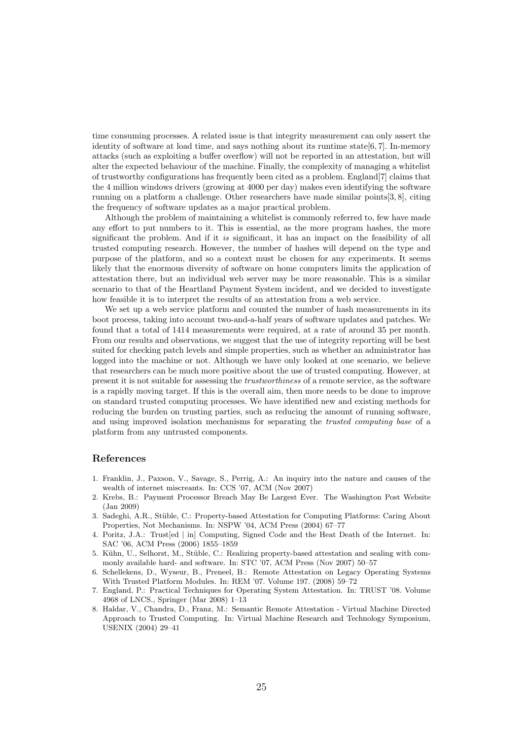time consuming processes. A related issue is that integrity measurement can only assert the identity of software at load time, and says nothing about its runtime state[6, 7]. In-memory attacks (such as exploiting a buffer overflow) will not be reported in an attestation, but will alter the expected behaviour of the machine. Finally, the complexity of managing a whitelist of trustworthy configurations has frequently been cited as a problem. England[7] claims that the 4 million windows drivers (growing at 4000 per day) makes even identifying the software running on a platform a challenge. Other researchers have made similar points[3, 8], citing the frequency of software updates as a major practical problem.

Although the problem of maintaining a whitelist is commonly referred to, few have made any effort to put numbers to it. This is essential, as the more program hashes, the more significant the problem. And if it is significant, it has an impact on the feasibility of all trusted computing research. However, the number of hashes will depend on the type and purpose of the platform, and so a context must be chosen for any experiments. It seems likely that the enormous diversity of software on home computers limits the application of attestation there, but an individual web server may be more reasonable. This is a similar scenario to that of the Heartland Payment System incident, and we decided to investigate how feasible it is to interpret the results of an attestation from a web service.

We set up a web service platform and counted the number of hash measurements in its boot process, taking into account two-and-a-half years of software updates and patches. We found that a total of 1414 measurements were required, at a rate of around 35 per month. From our results and observations, we suggest that the use of integrity reporting will be best suited for checking patch levels and simple properties, such as whether an administrator has logged into the machine or not. Although we have only looked at one scenario, we believe that researchers can be much more positive about the use of trusted computing. However, at present it is not suitable for assessing the trustworthiness of a remote service, as the software is a rapidly moving target. If this is the overall aim, then more needs to be done to improve on standard trusted computing processes. We have identified new and existing methods for reducing the burden on trusting parties, such as reducing the amount of running software, and using improved isolation mechanisms for separating the trusted computing base of a platform from any untrusted components.

- 1. Franklin, J., Paxson, V., Savage, S., Perrig, A.: An inquiry into the nature and causes of the wealth of internet miscreants. In: CCS '07, ACM (Nov 2007)
- 2. Krebs, B.: Payment Processor Breach May Be Largest Ever. The Washington Post Website (Jan 2009)
- 3. Sadeghi, A.R., Stüble, C.: Property-based Attestation for Computing Platforms: Caring About Properties, Not Mechanisms. In: NSPW '04, ACM Press (2004) 67–77
- 4. Poritz, J.A.: Trust[ed | in] Computing, Signed Code and the Heat Death of the Internet. In: SAC '06, ACM Press (2006) 1855–1859
- 5. Kühn, U., Selhorst, M., Stüble, C.: Realizing property-based attestation and sealing with commonly available hard- and software. In: STC '07, ACM Press (Nov 2007) 50–57
- 6. Schellekens, D., Wyseur, B., Preneel, B.: Remote Attestation on Legacy Operating Systems With Trusted Platform Modules. In: REM '07. Volume 197. (2008) 59–72
- 7. England, P.: Practical Techniques for Operating System Attestation. In: TRUST '08. Volume 4968 of LNCS., Springer (Mar 2008) 1–13
- 8. Haldar, V., Chandra, D., Franz, M.: Semantic Remote Attestation Virtual Machine Directed Approach to Trusted Computing. In: Virtual Machine Research and Technology Symposium, USENIX (2004) 29–41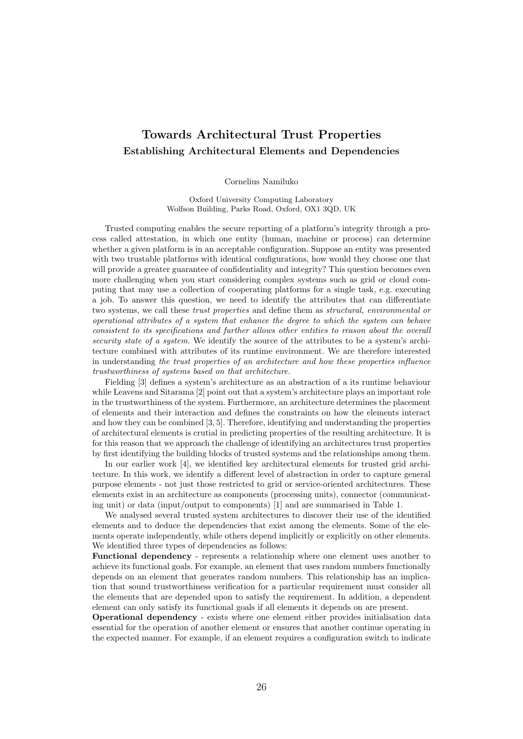# <span id="page-26-0"></span>Towards Architectural Trust Properties Establishing Architectural Elements and Dependencies

Cornelius Namiluko

Oxford University Computing Laboratory Wolfson Building, Parks Road, Oxford, OX1 3QD, UK

Trusted computing enables the secure reporting of a platform's integrity through a process called attestation, in which one entity (human, machine or process) can determine whether a given platform is in an acceptable configuration. Suppose an entity was presented with two trustable platforms with identical configurations, how would they choose one that will provide a greater guarantee of confidentiality and integrity? This question becomes even more challenging when you start considering complex systems such as grid or cloud computing that may use a collection of cooperating platforms for a single task, e.g. executing a job. To answer this question, we need to identify the attributes that can differentiate two systems, we call these trust properties and define them as structural, environmental or operational attributes of a system that enhance the degree to which the system can behave consistent to its specifications and further allows other entities to reason about the overall security state of a system. We identify the source of the attributes to be a system's architecture combined with attributes of its runtime environment. We are therefore interested in understanding the trust properties of an architecture and how these properties influence trustworthiness of systems based on that architecture.

Fielding [3] defines a system's architecture as an abstraction of a its runtime behaviour while Leavens and Sitarama [2] point out that a system's architecture plays an important role in the trustworthiness of the system. Furthermore, an architecture determines the placement of elements and their interaction and defines the constraints on how the elements interact and how they can be combined [3, 5]. Therefore, identifying and understanding the properties of architectural elements is crutial in predicting properties of the resulting architecture. It is for this reason that we approach the challenge of identifying an architectures trust properties by first identifying the building blocks of trusted systems and the relationships among them.

In our earlier work [4], we identified key architectural elements for trusted grid architecture. In this work, we identify a different level of abstraction in order to capture general purpose elements - not just those restricted to grid or service-oriented architectures. These elements exist in an architecture as components (processing units), connector (communicating unit) or data (input/output to components) [1] and are summarised in Table 1.

We analysed several trusted system architectures to discover their use of the identified elements and to deduce the dependencies that exist among the elements. Some of the elements operate independently, while others depend implicitly or explicitly on other elements. We identified three types of dependencies as follows:

Functional dependency - represents a relationship where one element uses another to achieve its functional goals. For example, an element that uses random numbers functionally depends on an element that generates random numbers. This relationship has an implication that sound trustworthiness verification for a particular requirement must consider all the elements that are depended upon to satisfy the requirement. In addition, a dependent element can only satisfy its functional goals if all elements it depends on are present.

Operational dependency - exists where one element either provides initialisation data essential for the operation of another element or ensures that another continue operating in the expected manner. For example, if an element requires a configuration switch to indicate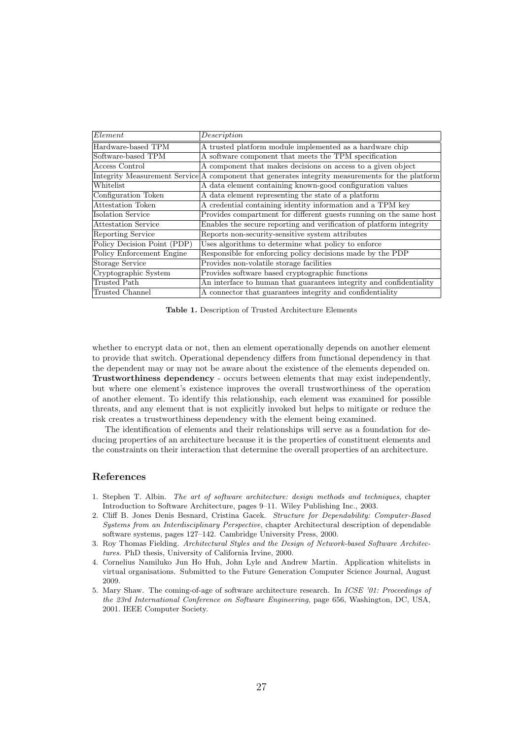| Element                                                                                          | Description                                                         |  |
|--------------------------------------------------------------------------------------------------|---------------------------------------------------------------------|--|
|                                                                                                  |                                                                     |  |
| Hardware-based TPM                                                                               | A trusted platform module implemented as a hardware chip            |  |
| Software-based TPM                                                                               | A software component that meets the TPM specification               |  |
| Access Control                                                                                   | A component that makes decisions on access to a given object        |  |
| Integrity Measurement Service A component that generates integrity measurements for the platform |                                                                     |  |
| Whitelist                                                                                        | A data element containing known-good configuration values           |  |
| Configuration Token                                                                              | A data element representing the state of a platform                 |  |
| Attestation Token                                                                                | A credential containing identity information and a TPM key          |  |
| Isolation Service                                                                                | Provides compartment for different guests running on the same host  |  |
| Attestation Service                                                                              | Enables the secure reporting and verification of platform integrity |  |
| Reporting Service                                                                                | Reports non-security-sensitive system attributes                    |  |
| Policy Decision Point (PDP)                                                                      | Uses algorithms to determine what policy to enforce                 |  |
| Policy Enforcement Engine                                                                        | Responsible for enforcing policy decisions made by the PDP          |  |
| Storage Service                                                                                  | Provides non-volatile storage facilities                            |  |
| Cryptographic System                                                                             | Provides software based cryptographic functions                     |  |
| Trusted Path                                                                                     | An interface to human that guarantees integrity and confidentiality |  |
| Trusted Channel                                                                                  | A connector that guarantees integrity and confidentiality           |  |

Table 1. Description of Trusted Architecture Elements

whether to encrypt data or not, then an element operationally depends on another element to provide that switch. Operational dependency differs from functional dependency in that the dependent may or may not be aware about the existence of the elements depended on. Trustworthiness dependency - occurs between elements that may exist independently, but where one element's existence improves the overall trustworthiness of the operation of another element. To identify this relationship, each element was examined for possible threats, and any element that is not explicitly invoked but helps to mitigate or reduce the risk creates a trustworthiness dependency with the element being examined.

The identification of elements and their relationships will serve as a foundation for deducing properties of an architecture because it is the properties of constituent elements and the constraints on their interaction that determine the overall properties of an architecture.

- 1. Stephen T. Albin. The art of software architecture: design methods and techniques, chapter Introduction to Software Architecture, pages 9–11. Wiley Publishing Inc., 2003.
- 2. Cliff B. Jones Denis Besnard, Cristina Gacek. Structure for Dependability: Computer-Based Systems from an Interdisciplinary Perspective, chapter Architectural description of dependable software systems, pages 127–142. Cambridge University Press, 2000.
- 3. Roy Thomas Fielding. Architectural Styles and the Design of Network-based Software Architectures. PhD thesis, University of California Irvine, 2000.
- 4. Cornelius Namiluko Jun Ho Huh, John Lyle and Andrew Martin. Application whitelists in virtual organisations. Submitted to the Future Generation Computer Science Journal, August 2009.
- 5. Mary Shaw. The coming-of-age of software architecture research. In ICSE '01: Proceedings of the 23rd International Conference on Software Engineering, page 656, Washington, DC, USA, 2001. IEEE Computer Society.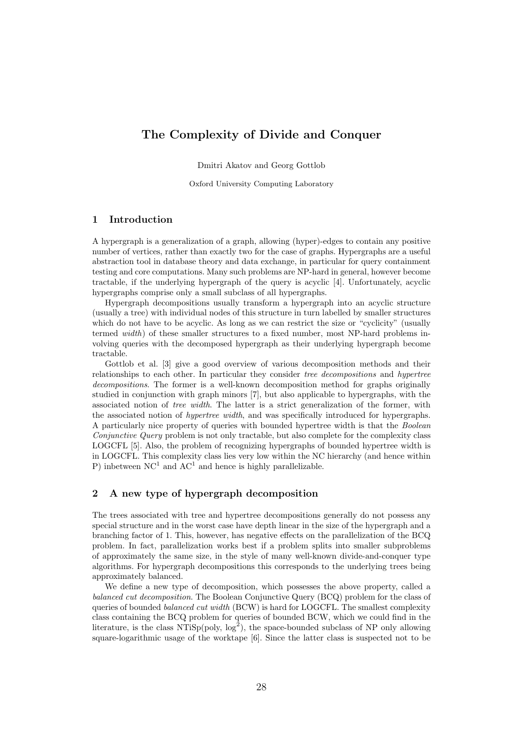## <span id="page-28-0"></span>The Complexity of Divide and Conquer

Dmitri Akatov and Georg Gottlob

Oxford University Computing Laboratory

## 1 Introduction

A hypergraph is a generalization of a graph, allowing (hyper)-edges to contain any positive number of vertices, rather than exactly two for the case of graphs. Hypergraphs are a useful abstraction tool in database theory and data exchange, in particular for query containment testing and core computations. Many such problems are NP-hard in general, however become tractable, if the underlying hypergraph of the query is acyclic [4]. Unfortunately, acyclic hypergraphs comprise only a small subclass of all hypergraphs.

Hypergraph decompositions usually transform a hypergraph into an acyclic structure (usually a tree) with individual nodes of this structure in turn labelled by smaller structures which do not have to be acyclic. As long as we can restrict the size or "cyclicity" (usually termed width) of these smaller structures to a fixed number, most NP-hard problems involving queries with the decomposed hypergraph as their underlying hypergraph become tractable.

Gottlob et al. [3] give a good overview of various decomposition methods and their relationships to each other. In particular they consider tree decompositions and hypertree decompositions. The former is a well-known decomposition method for graphs originally studied in conjunction with graph minors [7], but also applicable to hypergraphs, with the associated notion of tree width. The latter is a strict generalization of the former, with the associated notion of hypertree width, and was specifically introduced for hypergraphs. A particularly nice property of queries with bounded hypertree width is that the Boolean Conjunctive Query problem is not only tractable, but also complete for the complexity class LOGCFL [5]. Also, the problem of recognizing hypergraphs of bounded hypertree width is in LOGCFL. This complexity class lies very low within the NC hierarchy (and hence within P) inbetween  $NC<sup>1</sup>$  and  $AC<sup>1</sup>$  and hence is highly parallelizable.

### 2 A new type of hypergraph decomposition

The trees associated with tree and hypertree decompositions generally do not possess any special structure and in the worst case have depth linear in the size of the hypergraph and a branching factor of 1. This, however, has negative effects on the parallelization of the BCQ problem. In fact, parallelization works best if a problem splits into smaller subproblems of approximately the same size, in the style of many well-known divide-and-conquer type algorithms. For hypergraph decompositions this corresponds to the underlying trees being approximately balanced.

We define a new type of decomposition, which possesses the above property, called a balanced cut decomposition. The Boolean Conjunctive Query (BCQ) problem for the class of queries of bounded *balanced cut width* (BCW) is hard for LOGCFL. The smallest complexity class containing the BCQ problem for queries of bounded BCW, which we could find in the literature, is the class  $NTiSp(poly, log<sup>2</sup>)$ , the space-bounded subclass of NP only allowing square-logarithmic usage of the worktape [6]. Since the latter class is suspected not to be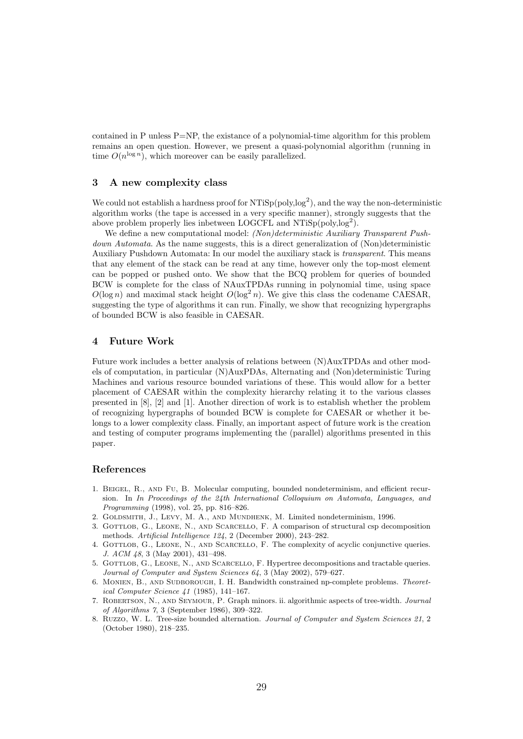contained in P unless P=NP, the existance of a polynomial-time algorithm for this problem remains an open question. However, we present a quasi-polynomial algorithm (running in time  $O(n^{\log n})$ , which moreover can be easily parallelized.

## 3 A new complexity class

We could not establish a hardness proof for  $NTiSp(poly, log<sup>2</sup>)$ , and the way the non-deterministic algorithm works (the tape is accessed in a very specific manner), strongly suggests that the above problem properly lies inbetween LOGCFL and  $NTiSp(poly, log<sup>2</sup>)$ .

We define a new computational model: (Non)deterministic Auxiliary Transparent Pushdown Automata. As the name suggests, this is a direct generalization of (Non)deterministic Auxiliary Pushdown Automata: In our model the auxiliary stack is transparent. This means that any element of the stack can be read at any time, however only the top-most element can be popped or pushed onto. We show that the BCQ problem for queries of bounded BCW is complete for the class of NAuxTPDAs running in polynomial time, using space  $O(\log n)$  and maximal stack height  $O(\log^2 n)$ . We give this class the codename CAESAR, suggesting the type of algorithms it can run. Finally, we show that recognizing hypergraphs of bounded BCW is also feasible in CAESAR.

## 4 Future Work

Future work includes a better analysis of relations between  $(N)$ AuxTPDAs and other models of computation, in particular (N)AuxPDAs, Alternating and (Non)deterministic Turing Machines and various resource bounded variations of these. This would allow for a better placement of CAESAR within the complexity hierarchy relating it to the various classes presented in [8], [2] and [1]. Another direction of work is to establish whether the problem of recognizing hypergraphs of bounded BCW is complete for CAESAR or whether it belongs to a lower complexity class. Finally, an important aspect of future work is the creation and testing of computer programs implementing the (parallel) algorithms presented in this paper.

- 1. Beigel, R., and Fu, B. Molecular computing, bounded nondeterminism, and efficient recursion. In In Proceedings of the 24th International Colloquium on Automata, Languages, and Programming (1998), vol. 25, pp. 816–826.
- 2. Goldsmith, J., Levy, M. A., and Mundhenk, M. Limited nondeterminism, 1996.
- 3. GOTTLOB, G., LEONE, N., AND SCARCELLO, F. A comparison of structural csp decomposition methods. Artificial Intelligence 124, 2 (December 2000), 243–282.
- 4. GOTTLOB, G., LEONE, N., AND SCARCELLO, F. The complexity of acyclic conjunctive queries. J. ACM 48, 3 (May 2001), 431–498.
- 5. GOTTLOB, G., LEONE, N., AND SCARCELLO, F. Hypertree decompositions and tractable queries. Journal of Computer and System Sciences 64, 3 (May 2002), 579–627.
- 6. MONIEN, B., AND SUDBOROUGH, I. H. Bandwidth constrained np-complete problems. Theoretical Computer Science 41 (1985), 141–167.
- 7. Robertson, N., and Seymour, P. Graph minors. ii. algorithmic aspects of tree-width. Journal of Algorithms 7, 3 (September 1986), 309–322.
- 8. Ruzzo, W. L. Tree-size bounded alternation. Journal of Computer and System Sciences 21, 2 (October 1980), 218–235.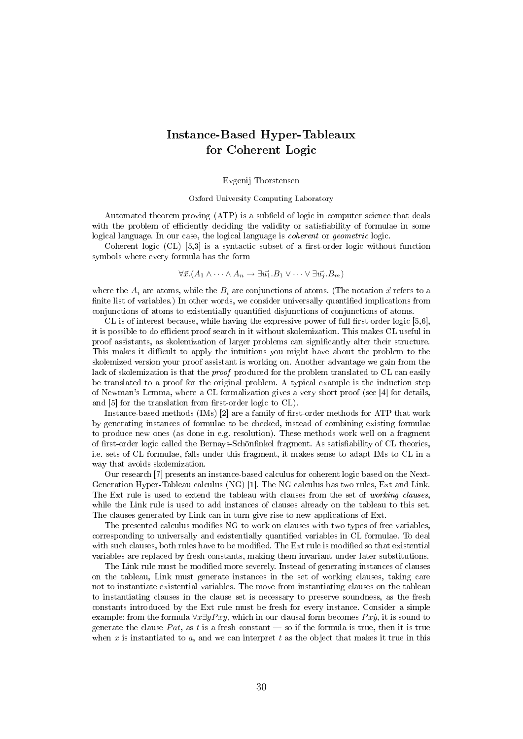# <span id="page-30-0"></span>Instance-Based Hyper-Tableaux for Coherent Logic

#### Evgenij Thorstensen

Oxford University Computing Laboratory

Automated theorem proving (ATP) is a subfield of logic in computer science that deals with the problem of efficiently deciding the validity or satisfiability of formulae in some logical language. In our case, the logical language is *coherent* or *geometric* logic.

Coherent logic (CL)  $[5,3]$  is a syntactic subset of a first-order logic without function symbols where every formula has the form

$$
\forall \vec{x}. (A_1 \wedge \cdots \wedge A_n \rightarrow \exists \vec{u_1}. B_1 \vee \cdots \vee \exists \vec{u_j}. B_m)
$$

where the  $A_i$  are atoms, while the  $B_i$  are conjunctions of atoms. (The notation  $\vec{x}$  refers to a finite list of variables.) In other words, we consider universally quantified implications from conjunctions of atoms to existentially quantified disjunctions of conjunctions of atoms.

CL is of interest because, while having the expressive power of full first-order logic  $[5,6]$ , it is possible to do efficient proof search in it without skolemization. This makes CL useful in proof assistants, as skolemization of larger problems can signicantly alter their structure. This makes it difficult to apply the intuitions you might have about the problem to the skolemized version your proof assistant is working on. Another advantage we gain from the lack of skolemization is that the *proof* produced for the problem translated to CL can easily be translated to a proof for the original problem. A typical example is the induction step of Newman's Lemma, where a CL formalization gives a very short proof (see [4] for details, and  $[5]$  for the translation from first-order logic to CL).

Instance-based methods  $(IMs)$  [2] are a family of first-order methods for ATP that work by generating instances of formulae to be checked, instead of combining existing formulae to produce new ones (as done in e.g. resolution). These methods work well on a fragment of first-order logic called the Bernays-Schönfinkel fragment. As satisfiability of CL theories, i.e. sets of CL formulae, falls under this fragment, it makes sense to adapt IMs to CL in a way that avoids skolemization.

Our research [7] presents an instance-based calculus for coherent logic based on the Next-Generation Hyper-Tableau calculus (NG) [1]. The NG calculus has two rules, Ext and Link. The Ext rule is used to extend the tableau with clauses from the set of working clauses, while the Link rule is used to add instances of clauses already on the tableau to this set. The clauses generated by Link can in turn give rise to new applications of Ext.

The presented calculus modifies NG to work on clauses with two types of free variables, corresponding to universally and existentially quantified variables in CL formulae. To deal with such clauses, both rules have to be modified. The Ext rule is modified so that existential variables are replaced by fresh constants, making them invariant under later substitutions.

The Link rule must be modified more severely. Instead of generating instances of clauses on the tableau, Link must generate instances in the set of working clauses, taking care not to instantiate existential variables. The move from instantiating clauses on the tableau to instantiating clauses in the clause set is necessary to preserve soundness, as the fresh constants introduced by the Ext rule must be fresh for every instance. Consider a simple example: from the formula  $\forall x \exists y Pxy$ , which in our clausal form becomes Pxy, it is sound to generate the clause Pat, as t is a fresh constant  $\sim$  so if the formula is true, then it is true when  $x$  is instantiated to  $a$ , and we can interpret  $t$  as the object that makes it true in this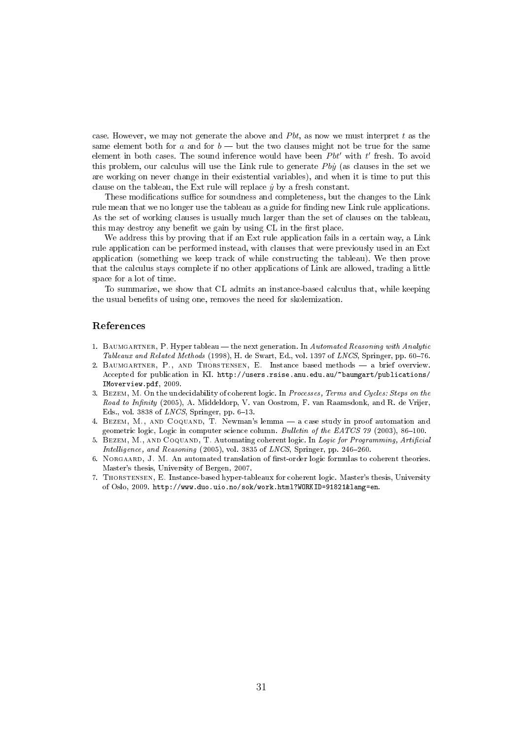case. However, we may not generate the above and  $Pbt$ , as now we must interpret t as the same element both for a and for  $b$   $\rightarrow$  but the two clauses might not be true for the same element in both cases. The sound inference would have been  $Pbt'$  with  $t'$  fresh. To avoid this problem, our calculus will use the Link rule to generate  $Pbj$  (as clauses in the set we are working on never change in their existential variables), and when it is time to put this clause on the tableau, the Ext rule will replace  $\dot{y}$  by a fresh constant.

These modifications suffice for soundness and completeness, but the changes to the Link rule mean that we no longer use the tableau as a guide for finding new Link rule applications. As the set of working clauses is usually much larger than the set of clauses on the tableau, this may destroy any benefit we gain by using  $CL$  in the first place.

We address this by proving that if an Ext rule application fails in a certain way, a Link rule application can be performed instead, with clauses that were previously used in an Ext application (something we keep track of while constructing the tableau). We then prove that the calculus stays complete if no other applications of Link are allowed, trading a little space for a lot of time.

To summarize, we show that CL admits an instance-based calculus that, while keeping the usual benefits of using one, removes the need for skolemization.

- 1. BAUMGARTNER, P. Hyper tableau the next generation. In Automated Reasoning with Analytic Tableaux and Related Methods (1998), H. de Swart, Ed., vol. 1397 of LNCS, Springer, pp. 60-76.
- 2. BAUMGARTNER, P., AND THORSTENSEN, E. Instance based methods a brief overview. Accepted for publication in KI. http://users.rsise.anu.edu.au/~baumgart/publications/ IMoverview.pdf, 2009.
- 3. Bezem, M. On the undecidability of coherent logic. In Processes, Terms and Cycles: Steps on the Road to Infinity (2005), A. Middeldorp, V. van Oostrom, F. van Raamsdonk, and R. de Vrijer, Eds., vol. 3838 of  $LNCS$ , Springer, pp. 6-13.
- 4. BEZEM, M., AND COQUAND, T. Newman's lemma  $-$  a case study in proof automation and geometric logic, Logic in computer science column. Bulletin of the EATCS 79 (2003), 86-100.
- 5. BEZEM, M., AND COQUAND, T. Automating coherent logic. In Logic for Programming, Artificial Intelligence, and Reasoning  $(2005)$ , vol. 3835 of LNCS, Springer, pp. 246-260.
- 6. NORGAARD, J. M. An automated translation of first-order logic formulas to coherent theories. Master's thesis, University of Bergen, 2007.
- 7. Thorstensen, E. Instance-based hyper-tableaux for coherent logic. Master's thesis, University of Oslo, 2009. http://www.duo.uio.no/sok/work.html?WORKID=91821&lang=en.